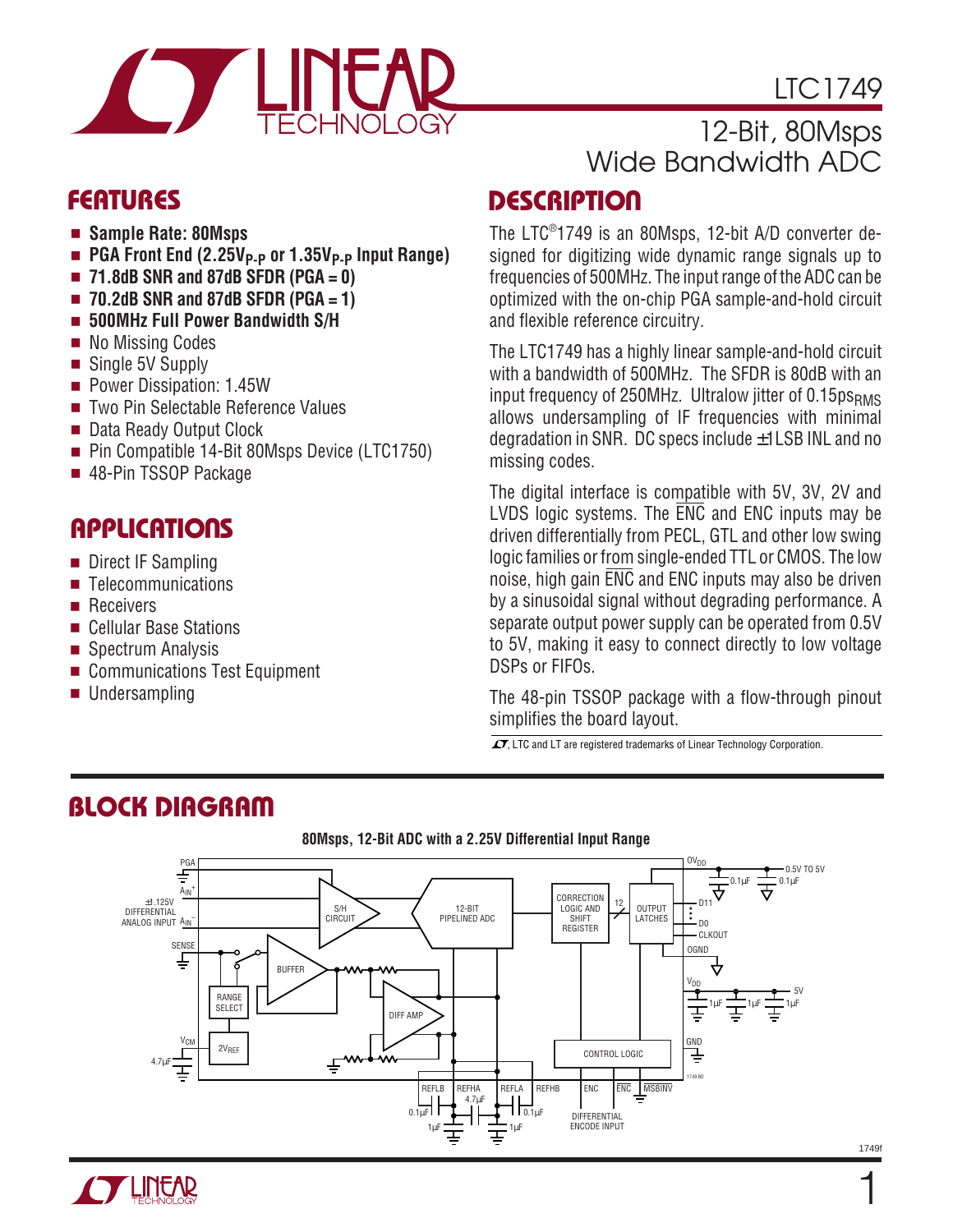

# LTC1749

## 12-Bit, 80Msps Wide Bandwidth ADC

- **Sample Rate: 80Msps**
- **PGA Front End (2.25V<sub>P-P</sub> or 1.35V<sub>P-P</sub> Input Range)**
- **71.8dB SNR and 87dB SFDR (PGA = 0)**
- **70.2dB SNR and 87dB SFDR (PGA = 1)**
- **500MHz Full Power Bandwidth S/H**
- No Missing Codes
- Single 5V Supply
- Power Dissipation: 1.45W
- Two Pin Selectable Reference Values
- Data Ready Output Clock
- Pin Compatible 14-Bit 80Msps Device (LTC1750)
- 48-Pin TSSOP Package

## **APPLICATIONS**

- Direct IF Sampling
- Telecommunications
- Receivers
- Cellular Base Stations
- Spectrum Analysis
- Communications Test Equipment
- Undersampling

### **DESCRIPTIO <sup>U</sup> FEATURES**

The LTC® 1749 is an 80Msps, 12-bit A/D converter designed for digitizing wide dynamic range signals up to frequencies of 500MHz. The input range of the ADC can be optimized with the on-chip PGA sample-and-hold circuit and flexible reference circuitry.

The LTC1749 has a highly linear sample-and-hold circuit with a bandwidth of 500MHz. The SFDR is 80dB with an input frequency of 250MHz. Ultralow jitter of 0.15psRMS allows undersampling of IF frequencies with minimal degradation in SNR. DC specs include ±1LSB INL and no missing codes.

The digital interface is compatible with 5V, 3V, 2V and LVDS logic systems. The ENC and ENC inputs may be driven differentially from PECL, GTL and other low swing logic families or from single-ended TTL or CMOS. The low noise, high gain ENC and ENC inputs may also be driven by a sinusoidal signal without degrading performance. A separate output power supply can be operated from 0.5V to 5V, making it easy to connect directly to low voltage DSPs or FIFOs.

The 48-pin TSSOP package with a flow-through pinout simplifies the board layout.

 $\overline{\mathcal{L}}$ , LTC and LT are registered trademarks of Linear Technology Corporation.

# **BLOCK DIAGRAM**





#### 1749f

1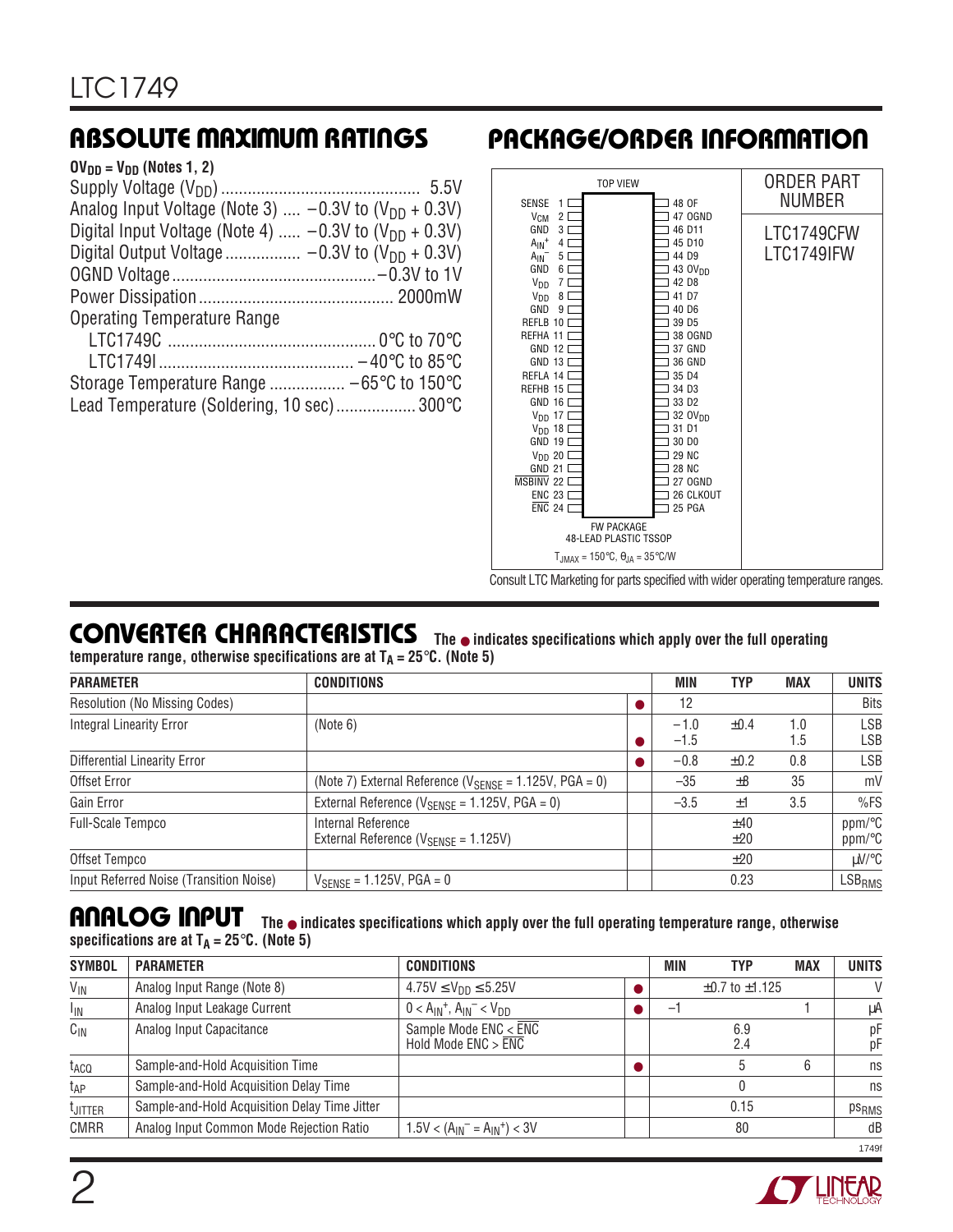| Analog Input Voltage (Note 3) $-0.3V$ to (V <sub>DD</sub> + 0.3V) |
|-------------------------------------------------------------------|
| Digital Input Voltage (Note 4) $-0.3V$ to $(V_{DD} + 0.3V)$       |
|                                                                   |
|                                                                   |
|                                                                   |
|                                                                   |
|                                                                   |
|                                                                   |
|                                                                   |
| Lead Temperature (Soldering, 10 sec) 300°C                        |
|                                                                   |

# **ABSOLUTE MAXIMUM RATINGS <sup>W</sup> <sup>W</sup> <sup>W</sup> <sup>U</sup> PACKAGE/ORDER INFORMATION <sup>U</sup> <sup>W</sup> <sup>U</sup>**



Consult LTC Marketing for parts specified with wider operating temperature ranges.

# **CONVERTER CHARACTERISTICS** The  $\bullet$  indicates specifications which apply over the full operating

**temperature range, otherwise specifications are at**  $T_A = 25^\circ \text{C}$ **. (Note 5)** 

| <b>PARAMETER</b>                        | <b>CONDITIONS</b>                                                        | MIN              | <b>TYP</b> | <b>MAX</b> | <b>UNITS</b>       |
|-----------------------------------------|--------------------------------------------------------------------------|------------------|------------|------------|--------------------|
| <b>Resolution (No Missing Codes)</b>    |                                                                          | 12               |            |            | <b>Bits</b>        |
| <b>Integral Linearity Error</b>         | (Note 6)                                                                 | $-1.0$<br>$-1.5$ | $\pm 0.4$  | 1.0<br>1.5 | LSB<br>LSB         |
| <b>Differential Linearity Error</b>     |                                                                          | $-0.8$           | $\pm 0.2$  | 0.8        | LSB                |
| Offset Error                            | (Note 7) External Reference ( $V_{\text{SENSE}} = 1.125V$ , PGA = 0)     | $-35$            | ±8         | 35         | mV                 |
| Gain Error                              | External Reference ( $V_{\text{SENSF}} = 1.125V$ , PGA = 0)              | $-3.5$           | ±1         | 3.5        | %FS                |
| Full-Scale Tempco                       | Internal Reference<br>External Reference ( $V_{\text{SENSE}} = 1.125V$ ) |                  | ±40<br>±20 |            | ppm/°C<br>ppm/°C   |
| Offset Tempco                           |                                                                          |                  | ±20        |            | µV/°C              |
| Input Referred Noise (Transition Noise) | $V_{SENSE} = 1.125V, PGA = 0$                                            |                  | 0.23       |            | LSB <sub>RMS</sub> |

#### **The** ● **indicates specifications which apply over the full operating temperature range, otherwise** specifications are at  $T_A = 25^\circ \text{C}$ . (Note 5) **ANALOG INPUT**

| <b>SYMBOL</b>    | <b>PARAMETER</b>                              | <b>CONDITIONS</b>                                                      | <b>MIN</b>               | TYP                      | <b>MAX</b> | <b>UNITS</b>      |
|------------------|-----------------------------------------------|------------------------------------------------------------------------|--------------------------|--------------------------|------------|-------------------|
| $V_{\text{IN}}$  | Analog Input Range (Note 8)                   | $4.75V \le V_{DD} \le 5.25V$                                           |                          | $\pm 0.7$ to $\pm 1.125$ |            |                   |
| $I_{\text{IN}}$  | Analog Input Leakage Current                  | $0 < A_{IN}^+$ , $A_{IN}^- < V_{DD}$                                   | $\overline{\phantom{m}}$ |                          |            | μA                |
| $C_{IN}$         | Analog Input Capacitance                      | Sample Mode $ENC < \overline{ENC}$<br>Hold Mode $ENC > \overline{ENC}$ |                          | 6.9<br>2.4               |            | pF<br>рF          |
| t <sub>ACQ</sub> | Sample-and-Hold Acquisition Time              |                                                                        |                          | 5                        | 6          | ns                |
| t <sub>AP</sub>  | Sample-and-Hold Acquisition Delay Time        |                                                                        |                          |                          |            | ns                |
| <b>LJITTER</b>   | Sample-and-Hold Acquisition Delay Time Jitter |                                                                        |                          | 0.15                     |            | ps <sub>RMS</sub> |
| <b>CMRR</b>      | Analog Input Common Mode Rejection Ratio      | $1.5V < (A_{IN}^- = A_{IN}^+) < 3V$                                    |                          | 80                       |            | dB                |
|                  |                                               |                                                                        |                          |                          |            | 1749              |

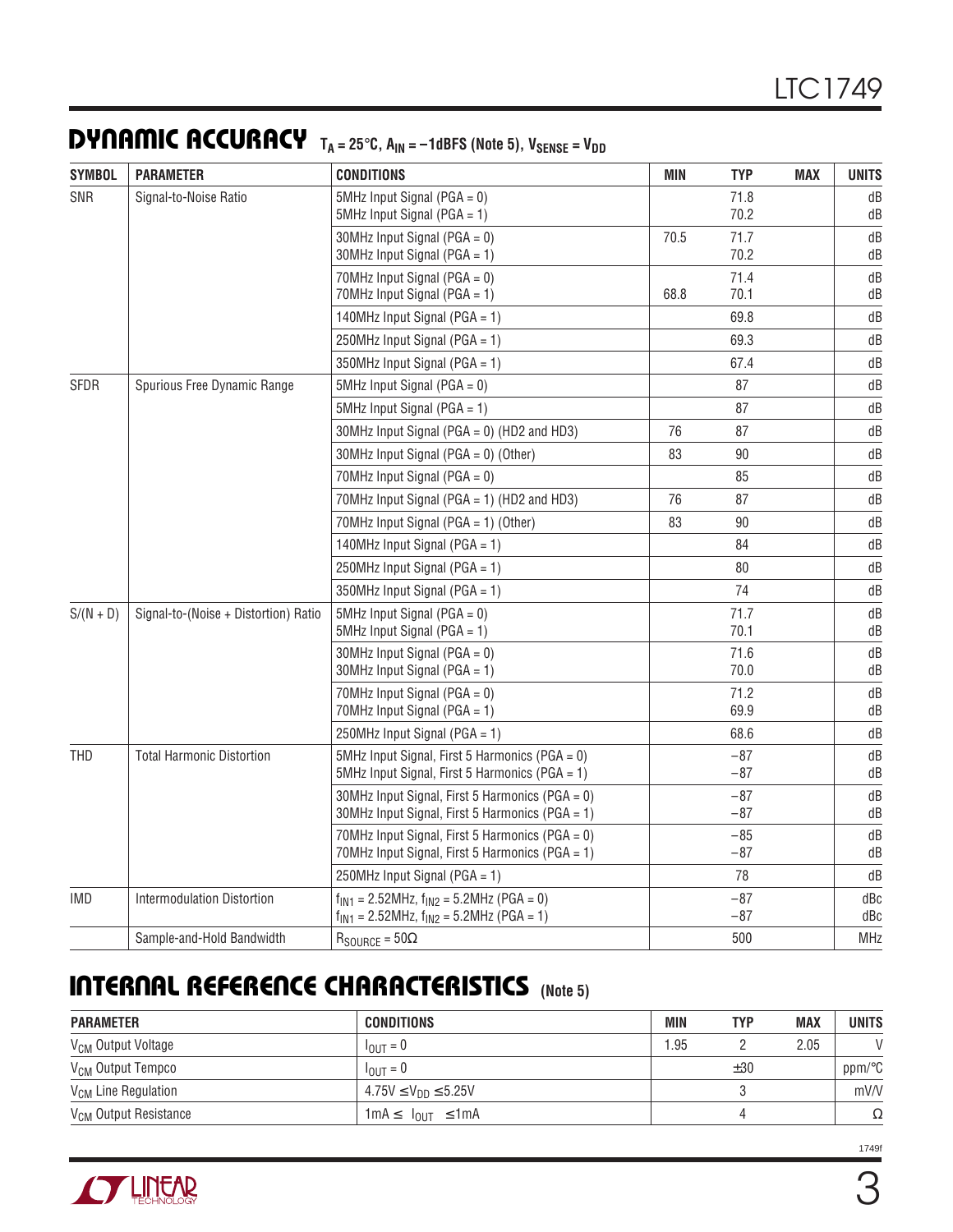### **DYNAMIC ACCURACY**  $T_A = 25^\circ \text{C}$ ,  $A_{IN} = -1$ dBFS (Note 5),  $V_{SENSE} = V_{DD}$

| <b>SYMBOL</b> | <b>PARAMETER</b>                     | <b>CONDITIONS</b>                                                                                      | <b>MIN</b> | <b>TYP</b>     | <b>MAX</b> | <b>UNITS</b> |
|---------------|--------------------------------------|--------------------------------------------------------------------------------------------------------|------------|----------------|------------|--------------|
| SNR           | Signal-to-Noise Ratio                | 5MHz Input Signal ( $PGA = 0$ )<br>5MHz Input Signal ( $PGA = 1$ )                                     |            | 71.8<br>70.2   |            | dB<br>dB     |
|               |                                      | 30MHz Input Signal ( $PGA = 0$ )<br>30MHz Input Signal (PGA = 1)                                       | 70.5       | 71.7<br>70.2   |            | dB<br>dB     |
|               |                                      | 70MHz Input Signal ( $PGA = 0$ )<br>70MHz Input Signal (PGA = 1)                                       | 68.8       | 71.4<br>70.1   |            | dB<br>dB     |
|               |                                      | 140MHz Input Signal ( $PGA = 1$ )                                                                      |            | 69.8           |            | dB           |
|               |                                      | 250MHz Input Signal ( $PGA = 1$ )                                                                      |            | 69.3           |            | dB           |
|               |                                      | 350MHz Input Signal ( $PGA = 1$ )                                                                      |            | 67.4           |            | dB           |
| <b>SFDR</b>   | Spurious Free Dynamic Range          | 5MHz Input Signal ( $PGA = 0$ )                                                                        |            | 87             |            | dB           |
|               |                                      | 5MHz Input Signal ( $PGA = 1$ )                                                                        |            | 87             |            | dB           |
|               |                                      | 30MHz Input Signal (PGA = 0) (HD2 and HD3)                                                             | 76         | 87             |            | dB           |
|               |                                      | 30MHz Input Signal (PGA = $0$ ) (Other)                                                                | 83         | 90             |            | dB           |
|               |                                      | 70MHz Input Signal ( $PGA = 0$ )                                                                       |            | 85             |            | dB           |
|               |                                      | 70MHz Input Signal (PGA = 1) (HD2 and HD3)                                                             | 76         | 87             |            | dB           |
|               |                                      | 70MHz Input Signal (PGA = 1) (Other)                                                                   | 83         | 90             |            | dB           |
|               |                                      | 140MHz Input Signal ( $PGA = 1$ )                                                                      |            | 84             |            | dB           |
|               |                                      | 250MHz Input Signal ( $PGA = 1$ )                                                                      |            | 80             |            | dB           |
|               |                                      | 350MHz Input Signal ( $PGA = 1$ )                                                                      |            | 74             |            | dB           |
| $S/(N + D)$   | Signal-to-(Noise + Distortion) Ratio | $5MHz$ Input Signal (PGA = 0)<br>5MHz Input Signal (PGA = 1)                                           |            | 71.7<br>70.1   |            | dB<br>dB     |
|               |                                      | 30MHz Input Signal ( $PGA = 0$ )<br>30MHz Input Signal (PGA = 1)                                       |            | 71.6<br>70.0   |            | dB<br>dB     |
|               |                                      | 70MHz Input Signal ( $PGA = 0$ )<br>70MHz Input Signal (PGA = 1)                                       |            | 71.2<br>69.9   |            | dB<br>dB     |
|               |                                      | 250MHz Input Signal (PGA = 1)                                                                          |            | 68.6           |            | dB           |
| <b>THD</b>    | <b>Total Harmonic Distortion</b>     | 5MHz Input Signal, First 5 Harmonics (PGA = 0)<br>5MHz Input Signal, First 5 Harmonics (PGA = 1)       |            | $-87$<br>$-87$ |            | dB<br>dB     |
|               |                                      | 30MHz Input Signal, First 5 Harmonics (PGA = 0)<br>30MHz Input Signal, First 5 Harmonics (PGA = 1)     |            | $-87$<br>$-87$ |            | dB<br>dB     |
|               |                                      | 70MHz Input Signal, First 5 Harmonics (PGA = 0)<br>70MHz Input Signal, First 5 Harmonics (PGA = 1)     |            | $-85$<br>$-87$ |            | dB<br>dB     |
|               |                                      | 250MHz Input Signal (PGA = 1)                                                                          |            | 78             |            | dB           |
| <b>IMD</b>    | <b>Intermodulation Distortion</b>    | $f_{IN1}$ = 2.52MHz, $f_{IN2}$ = 5.2MHz (PGA = 0)<br>$f_{IN1}$ = 2.52MHz, $f_{IN2}$ = 5.2MHz (PGA = 1) |            | $-87$<br>$-87$ |            | dBc<br>dBc   |
|               | Sample-and-Hold Bandwidth            | $R_{\text{SOURCE}} = 50\Omega$                                                                         |            | 500            |            | MHz          |

### **INTERNAL REFERENCE CHARACTERISTICS (Note 5) ATCOON** OCCCOCO

| <b>PARAMETER</b>                  | <b>CONDITIONS</b>                                     | MIN | <b>TYP</b> | <b>MAX</b> | <b>UNITS</b>  |
|-----------------------------------|-------------------------------------------------------|-----|------------|------------|---------------|
| V <sub>CM</sub> Output Voltage    | $I_{\text{OUT}} = 0$                                  | .95 |            | 2.05       | $\mathcal{U}$ |
| V <sub>CM</sub> Output Tempco     | $I_{OIII} = 0$                                        |     | ±30        |            | ppm/°C        |
| V <sub>CM</sub> Line Regulation   | $4.75V \le V_{DD} \le 5.25V$                          |     |            |            | mV/V          |
| V <sub>CM</sub> Output Resistance | $1 \text{ mA} \le  I_{\text{OIII}}  \le 1 \text{ mA}$ |     |            |            | Ω             |

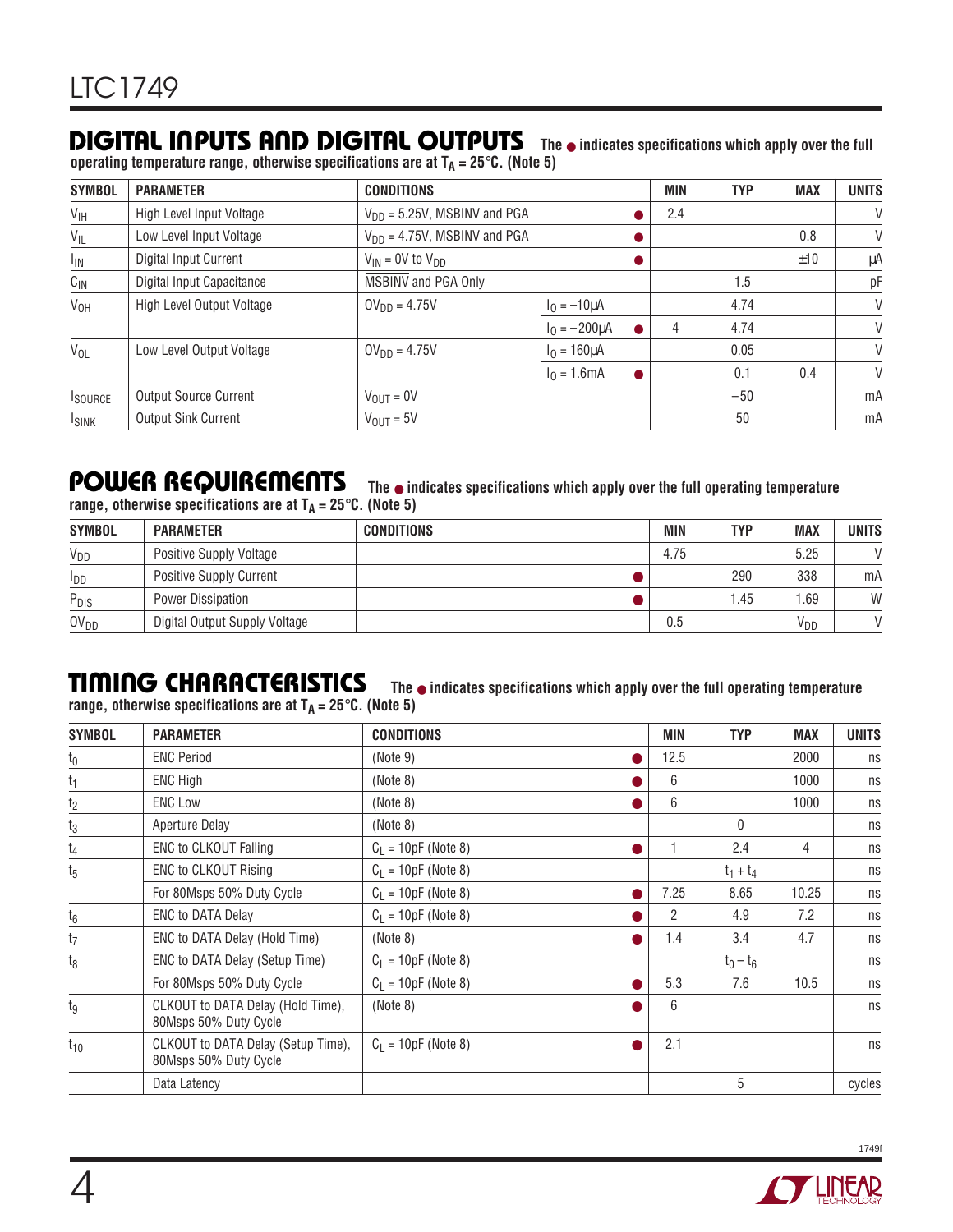### **DIGITAL INPUTS AND DIGITAL OUTPUTS**

**operating temperature range, otherwise specifications are at TA = 25**°**C. (Note 5)**

| <b>SYMBOL</b>   | <b>PARAMETER</b>             | <b>CONDITIONS</b>                 |                    |   | <b>MIN</b> | <b>TYP</b> | <b>MAX</b> | <b>UNITS</b> |
|-----------------|------------------------------|-----------------------------------|--------------------|---|------------|------------|------------|--------------|
| $V_{\text{IH}}$ | High Level Input Voltage     | $V_{DD} = 5.25V$ , MSBINV and PGA |                    |   | 2.4        |            |            | $\vee$       |
| $V_{IL}$        | Low Level Input Voltage      | $V_{DD} = 4.75V$ , MSBINV and PGA |                    |   |            |            | 0.8        | $\vee$       |
| $I_{IN}$        | Digital Input Current        | $V_{IN}$ = 0V to $V_{DD}$         |                    |   |            |            | ±10        | μA           |
| $C_{IN}$        | Digital Input Capacitance    | MSBINV and PGA Only               |                    |   |            | 1.5        |            | рF           |
| V <sub>OH</sub> | High Level Output Voltage    | $OV_{DD} = 4.75V$                 | $I_0 = -10 \mu A$  |   |            | 4.74       |            | $\vee$       |
|                 |                              |                                   | $I_0 = -200 \mu A$ |   | 4          | 4.74       |            | $\vee$       |
| $V_{OL}$        | Low Level Output Voltage     | $OV_{DD} = 4.75V$                 | $I_0 = 160 \mu A$  |   |            | 0.05       |            | $\vee$       |
|                 |                              |                                   | $I_0 = 1.6mA$      | 0 |            | 0.1        | 0.4        | $\vee$       |
| <b>ISOURCE</b>  | <b>Output Source Current</b> | $V_{\text{OUT}} = 0V$             |                    |   |            | $-50$      |            | mA           |
| <b>ISINK</b>    | <b>Output Sink Current</b>   | $V_{OIII} = 5V$                   |                    |   |            | 50         |            | mA           |

**The** ● **indicates specifications which apply over the full**

### **POWER REQUIREMENTS**

**The** ● **indicates specifications which apply over the full operating temperature**

|  |  | range, otherwise specifications are at $T_A = 25^{\circ}$ C. (Note 5) |  |  |  |
|--|--|-----------------------------------------------------------------------|--|--|--|
|--|--|-----------------------------------------------------------------------|--|--|--|

| <b>SYMBOL</b>    | <b>PARAMETER</b>               | <b>CONDITIONS</b> | <b>MIN</b> | <b>TYP</b> | <b>MAX</b>      | <b>UNITS</b>  |
|------------------|--------------------------------|-------------------|------------|------------|-----------------|---------------|
| $V_{DD}$         | <b>Positive Supply Voltage</b> |                   | 4.75       |            | 5.25            | $\mathcal{U}$ |
| <b>I</b> DD      | <b>Positive Supply Current</b> |                   |            | 290        | 338             | mA            |
| P <sub>DIS</sub> | Power Dissipation              |                   |            | .45        | .69             | W             |
| 0V <sub>DD</sub> | Digital Output Supply Voltage  |                   | $0.5\,$    |            | V <sub>DD</sub> | $\mathcal{L}$ |

 $\prod$  **MING** CHARACTERISTICS The  $\bullet$  indicates specifications which apply over the full operating temperature range, otherwise specifications are at  $T_A = 25^\circ C$ . (Note 5)

| <b>SYMBOL</b>  | <b>PARAMETER</b>                                            | <b>CONDITIONS</b>     |           | <b>MIN</b>     | TYP          | <b>MAX</b> | <b>UNITS</b> |
|----------------|-------------------------------------------------------------|-----------------------|-----------|----------------|--------------|------------|--------------|
| $t_0$          | <b>ENC Period</b>                                           | (Note 9)              | $\bullet$ | 12.5           |              | 2000       | ns           |
| $t_1$          | ENC High                                                    | (Note 8)              | O         | 6              |              | 1000       | ns           |
| t <sub>2</sub> | <b>ENC Low</b>                                              | (Note 8)              | $\bullet$ | 6              |              | 1000       | ns           |
| $t_3$          | Aperture Delay                                              | (Note 8)              |           |                | $\mathbf{0}$ |            | ns           |
| t <sub>4</sub> | <b>ENC to CLKOUT Falling</b>                                | $C_L = 10pF$ (Note 8) | $\bullet$ |                | 2.4          | 4          | ns           |
| $t_{5}$        | <b>ENC to CLKOUT Rising</b>                                 | $C_1 = 10pF$ (Note 8) |           |                | $t_1 + t_4$  |            | ns           |
|                | For 80Msps 50% Duty Cycle                                   | $C_L = 10pF$ (Note 8) | $\bullet$ | 7.25           | 8.65         | 10.25      | ns           |
| $t_6$          | <b>ENC to DATA Delay</b>                                    | $C_1 = 10pF$ (Note 8) |           | $\overline{2}$ | 4.9          | 7.2        | ns           |
| t7             | ENC to DATA Delay (Hold Time)                               | (Note 8)              | $\bullet$ | 1.4            | 3.4          | 4.7        | ns           |
| $t_8$          | ENC to DATA Delay (Setup Time)                              | $C_1 = 10pF$ (Note 8) |           |                | $t_0 - t_6$  |            | ns           |
|                | For 80Msps 50% Duty Cycle                                   | $C_L = 10pF$ (Note 8) | $\bullet$ | 5.3            | 7.6          | 10.5       | ns           |
| tg             | CLKOUT to DATA Delay (Hold Time),<br>80Msps 50% Duty Cycle  | (Note 8)              | ۰         | 6              |              |            | ns           |
| $t_{10}$       | CLKOUT to DATA Delay (Setup Time),<br>80Msps 50% Duty Cycle | $C_L = 10pF$ (Note 8) |           | 2.1            |              |            | ns           |
|                | Data Latency                                                |                       |           |                | 5            |            | cycles       |

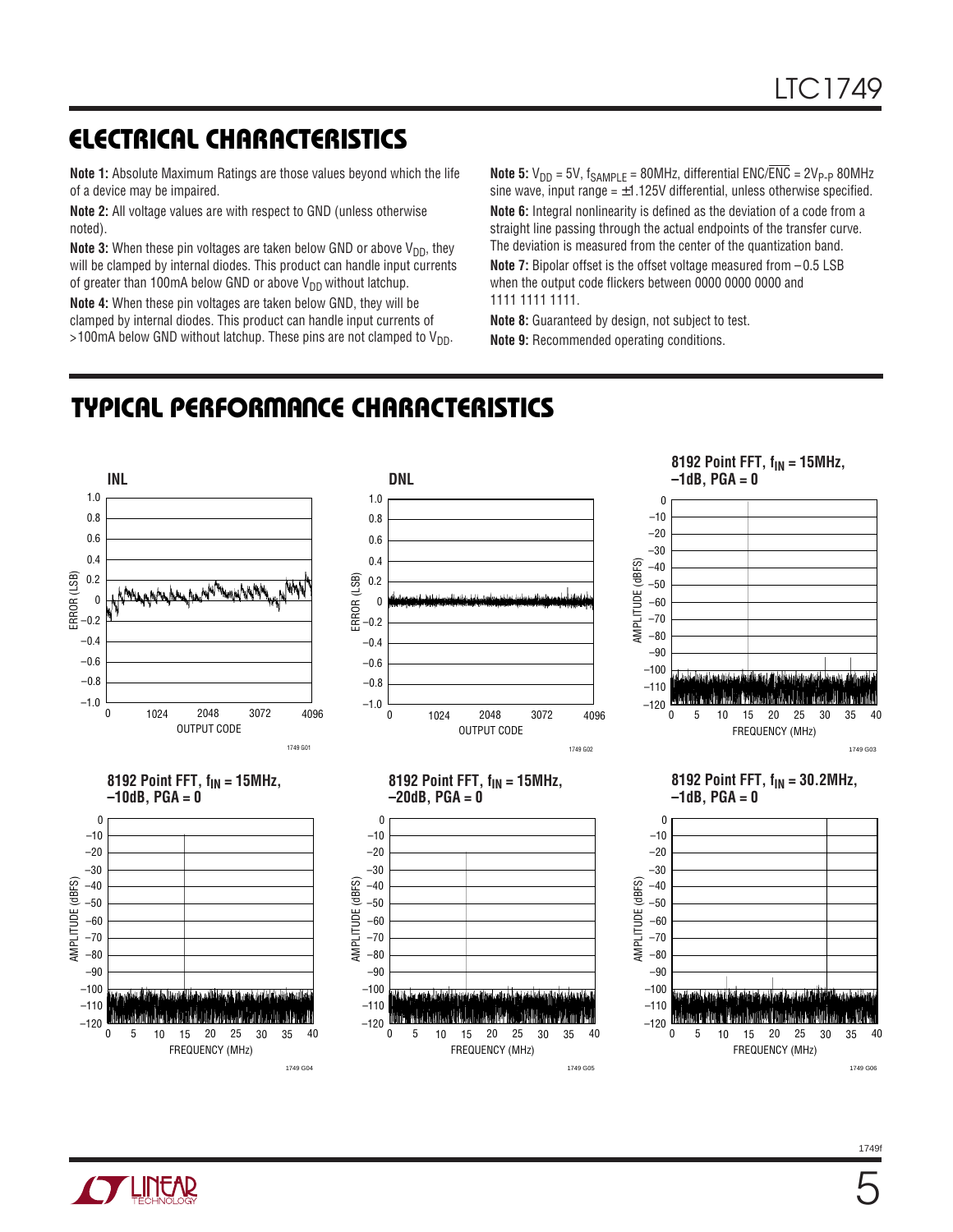# **ELECTRICAL CHARACTERISTICS**

**Note 1:** Absolute Maximum Ratings are those values beyond which the life of a device may be impaired.

**Note 2:** All voltage values are with respect to GND (unless otherwise noted).

**Note 3:** When these pin voltages are taken below GND or above V<sub>DD</sub>, they will be clamped by internal diodes. This product can handle input currents of greater than 100mA below GND or above  $V_{DD}$  without latchup.

**Note 4:** When these pin voltages are taken below GND, they will be clamped by internal diodes. This product can handle input currents of >100mA below GND without latchup. These pins are not clamped to  $V_{DD}$ . **Note 5:**  $V_{DD}$  = 5V,  $f_{SAMPLE}$  = 80MHz, differential ENC/ $\overline{ENC}$  = 2V<sub>P-P</sub> 80MHz sine wave, input range  $= \pm 1.125V$  differential, unless otherwise specified. **Note 6:** Integral nonlinearity is defined as the deviation of a code from a straight line passing through the actual endpoints of the transfer curve. The deviation is measured from the center of the quantization band. **Note 7:** Bipolar offset is the offset voltage measured from – 0.5 LSB when the output code flickers between 0000 0000 0000 and 1111 1111 1111.

**Note 8:** Guaranteed by design, not subject to test. **Note 9:** Recommended operating conditions.

# **TYPICAL PERFORMANCE CHARACTERISTICS**



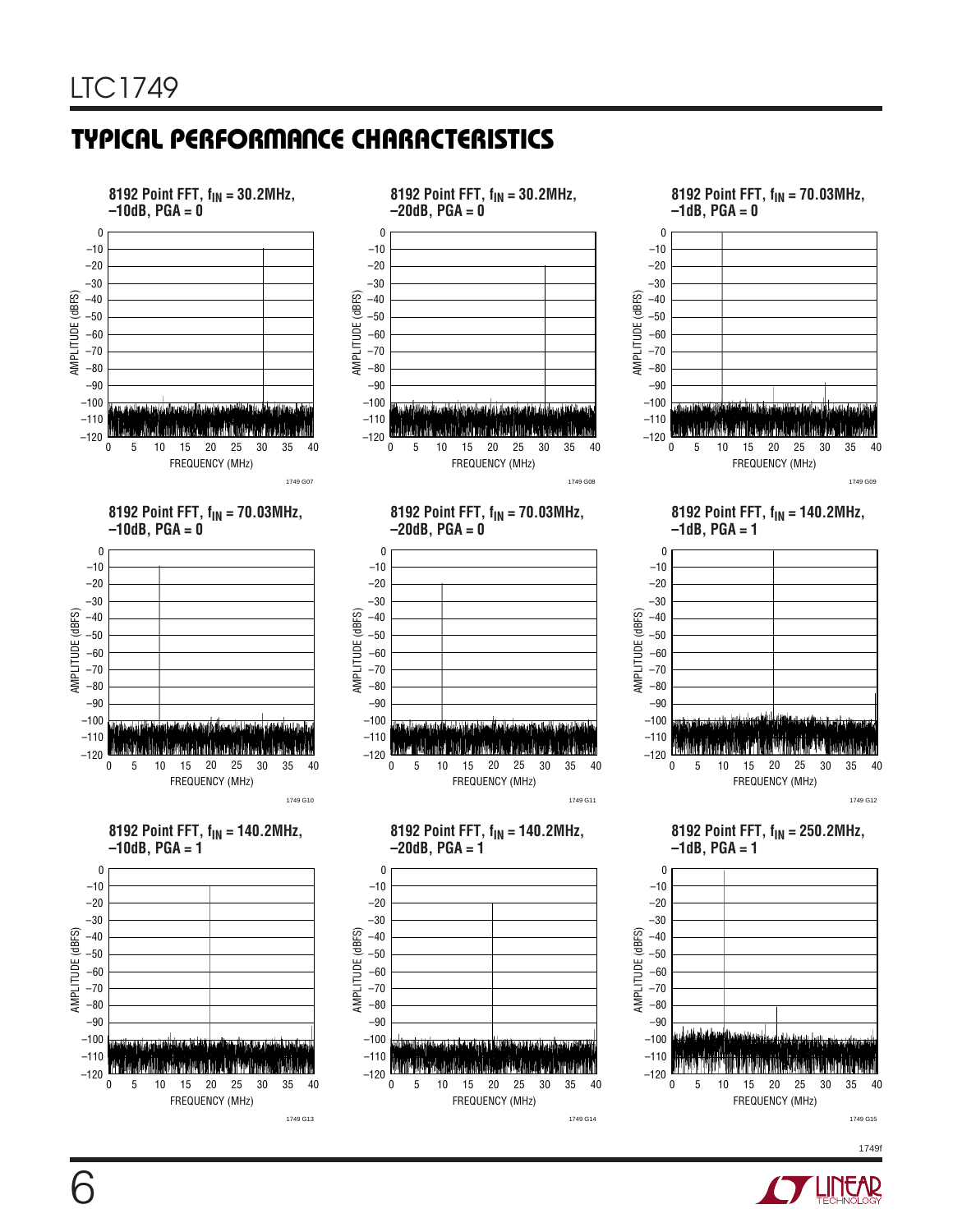# **TYPICAL PERFORMANCE CHARACTERISTICS**



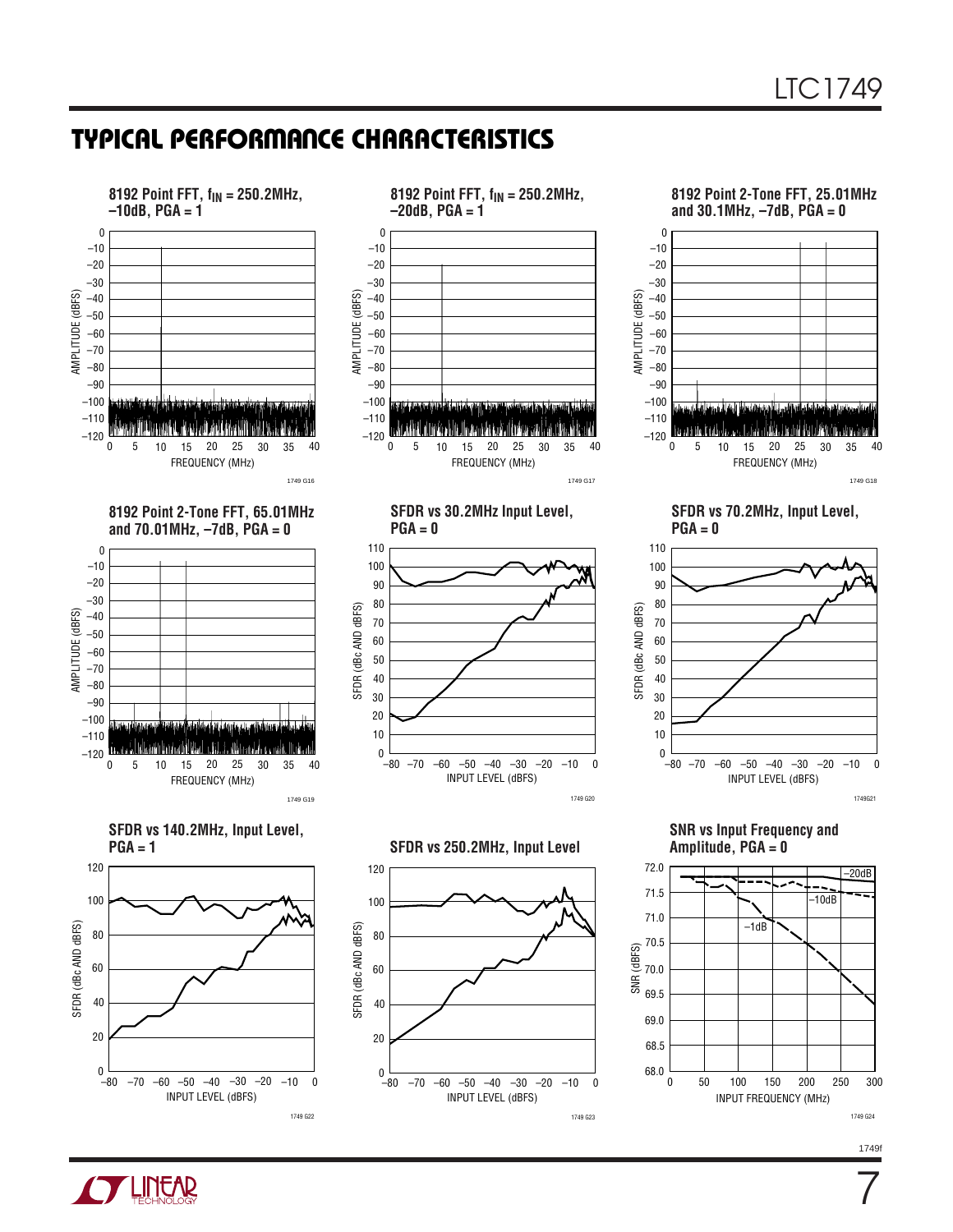### **TYPICAL PERFORMANCE CHARACTERISTICS**





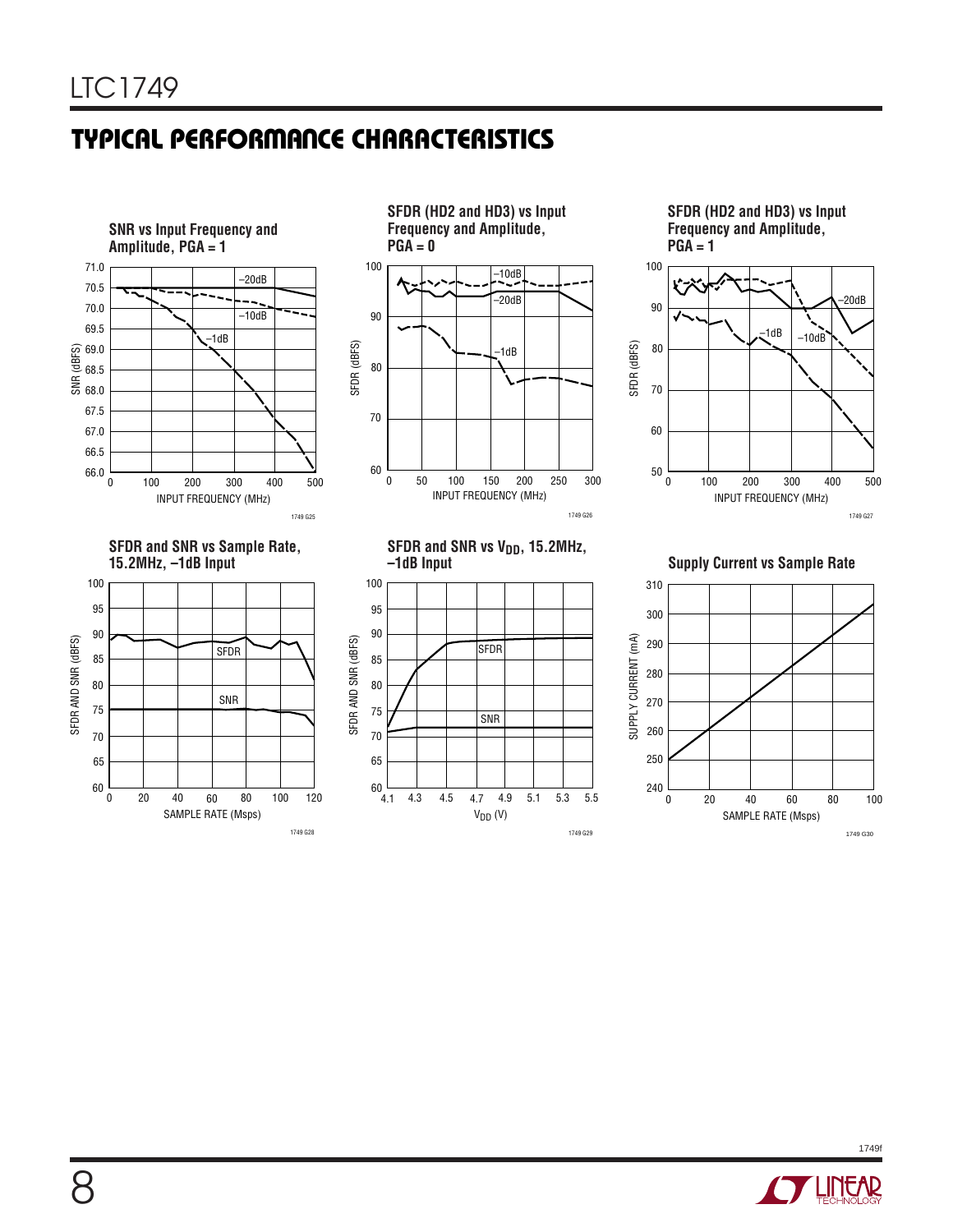# **TYPICAL PERFORMANCE CHARACTERISTICS**



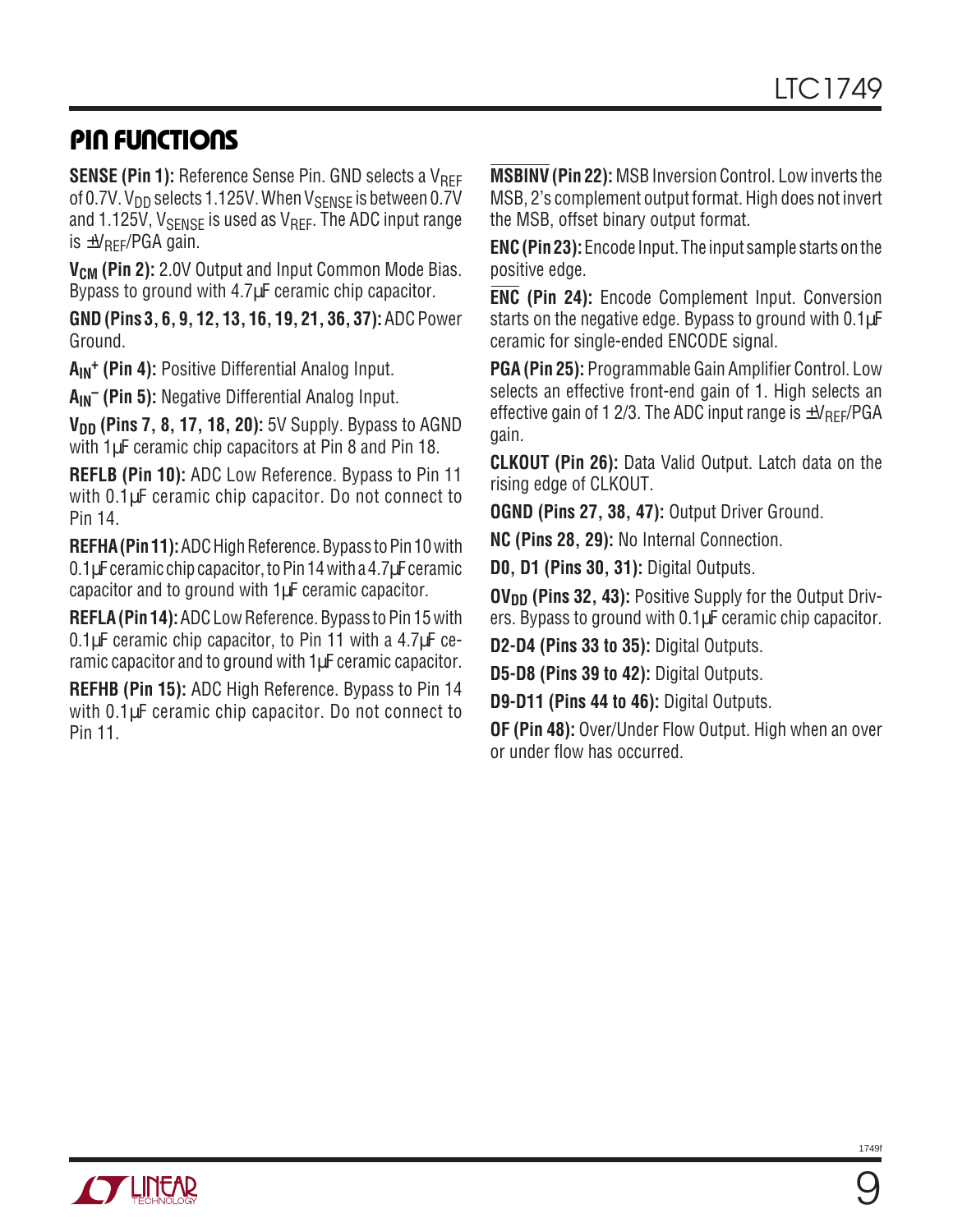## **PIN FUNCTIONS**

**SENSE (Pin 1):** Reference Sense Pin. GND selects a V<sub>REF</sub> of 0.7V.  $V_{DD}$  selects 1.125V. When  $V_{SENSE}$  is between 0.7V and 1.125V,  $V_{\text{SFNSF}}$  is used as  $V_{\text{RFF}}$ . The ADC input range is  $\pm V_{\text{RFF}}$ /PGA gain.

**V<sub>CM</sub>** (Pin 2): 2.0V Output and Input Common Mode Bias. Bypass to ground with 4.7µF ceramic chip capacitor.

**GND (Pins 3, 6, 9, 12, 13, 16, 19, 21, 36, 37):** ADC Power Ground.

**AIN+ (Pin 4):** Positive Differential Analog Input.

**AIN– (Pin 5):** Negative Differential Analog Input.

**V<sub>DD</sub>** (Pins 7, 8, 17, 18, 20): 5V Supply. Bypass to AGND with 1µF ceramic chip capacitors at Pin 8 and Pin 18.

**REFLB (Pin 10):** ADC Low Reference. Bypass to Pin 11 with 0.1µF ceramic chip capacitor. Do not connect to Pin 14.

**REFHA (Pin 11):** ADC High Reference. Bypass to Pin 10 with 0.1µF ceramic chip capacitor, to Pin 14 with a 4.7µF ceramic capacitor and to ground with 1µF ceramic capacitor.

**REFLA (Pin 14):** ADC Low Reference. Bypass to Pin 15 with 0.1µF ceramic chip capacitor, to Pin 11 with a 4.7µF ceramic capacitor and to ground with 1uF ceramic capacitor.

**REFHB (Pin 15):** ADC High Reference. Bypass to Pin 14 with 0.1µF ceramic chip capacitor. Do not connect to Pin 11.

**MSBINV (Pin 22):** MSB Inversion Control. Low inverts the MSB, 2's complement output format. High does not invert the MSB, offset binary output format.

**ENC (Pin 23):** Encode Input. The input sample starts on the positive edge.

**ENC (Pin 24):** Encode Complement Input. Conversion starts on the negative edge. Bypass to ground with 0.1 $\mu$ F ceramic for single-ended ENCODE signal.

**PGA (Pin 25):** Programmable Gain Amplifier Control. Low selects an effective front-end gain of 1. High selects an effective gain of 1 2/3. The ADC input range is  $\pm V_{\text{RFF}}/PGA$ gain.

**CLKOUT (Pin 26):** Data Valid Output. Latch data on the rising edge of CLKOUT.

**OGND (Pins 27, 38, 47):** Output Driver Ground.

**NC (Pins 28, 29):** No Internal Connection.

**D0, D1 (Pins 30, 31):** Digital Outputs.

**OV<sub>DD</sub>** (Pins 32, 43): Positive Supply for the Output Drivers. Bypass to ground with 0.1µF ceramic chip capacitor.

**D2-D4 (Pins 33 to 35):** Digital Outputs.

**D5-D8 (Pins 39 to 42):** Digital Outputs.

**D9-D11 (Pins 44 to 46):** Digital Outputs.

**OF (Pin 48):** Over/Under Flow Output. High when an over or under flow has occurred.



9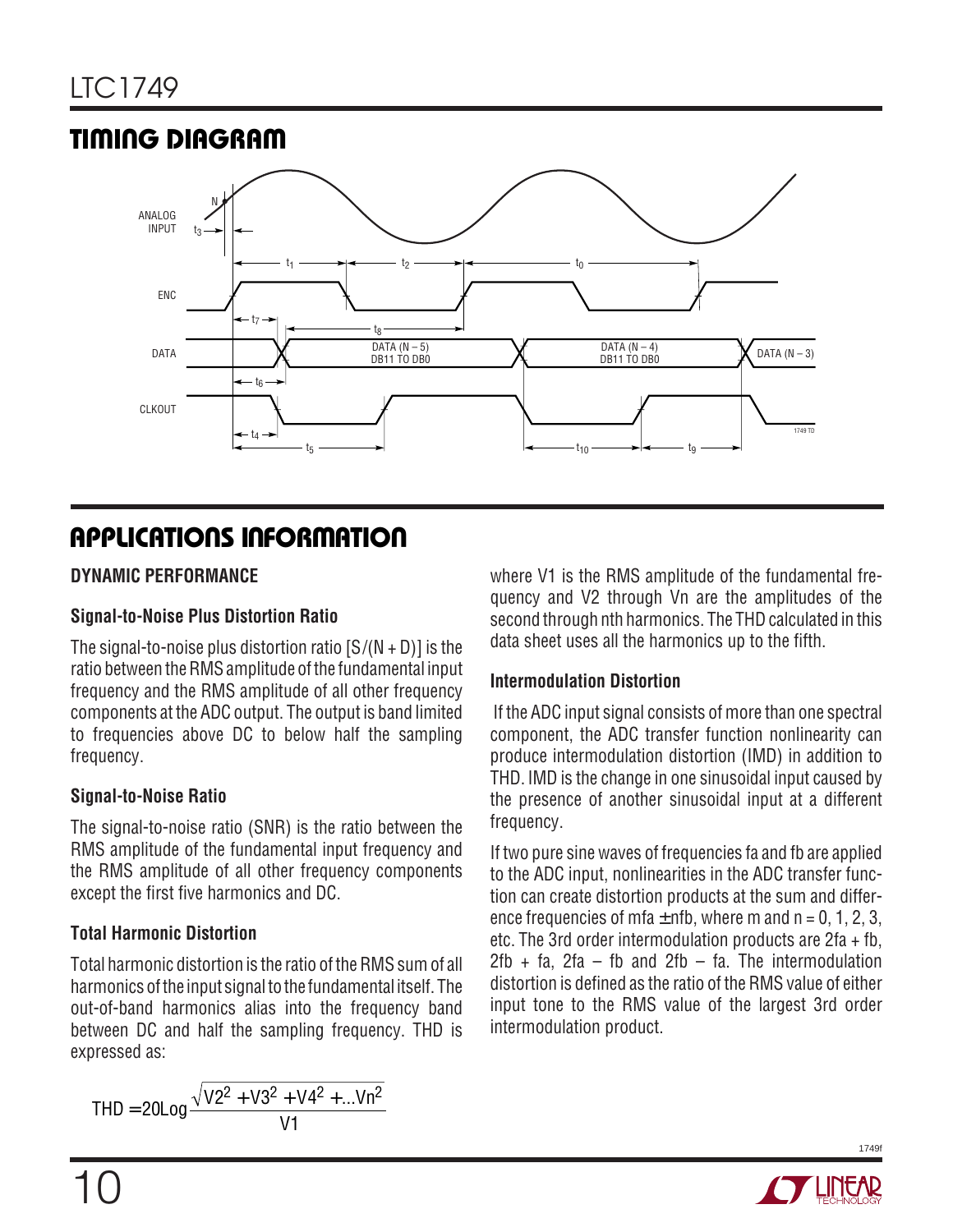# **TIMING DIAGRAM**



# **APPLICATIONS INFORMATION**

### **DYNAMIC PERFORMANCE**

### **Signal-to-Noise Plus Distortion Ratio**

The signal-to-noise plus distortion ratio  $[S/(N + D)]$  is the ratio between the RMS amplitude of the fundamental input frequency and the RMS amplitude of all other frequency components at the ADC output. The output is band limited to frequencies above DC to below half the sampling frequency.

### **Signal-to-Noise Ratio**

The signal-to-noise ratio (SNR) is the ratio between the RMS amplitude of the fundamental input frequency and the RMS amplitude of all other frequency components except the first five harmonics and DC.

### **Total Harmonic Distortion**

Total harmonic distortion is the ratio of the RMS sum of all harmonics of the input signal to the fundamental itself. The out-of-band harmonics alias into the frequency band between DC and half the sampling frequency. THD is expressed as:

$$
THD = 20Log \frac{\sqrt{V2^2 + V3^2 + V4^2 + ...}}{V1}V1
$$

where V1 is the RMS amplitude of the fundamental frequency and V2 through Vn are the amplitudes of the second through nth harmonics. The THD calculated in this data sheet uses all the harmonics up to the fifth.

### **Intermodulation Distortion**

 If the ADC input signal consists of more than one spectral component, the ADC transfer function nonlinearity can produce intermodulation distortion (IMD) in addition to THD. IMD is the change in one sinusoidal input caused by the presence of another sinusoidal input at a different frequency.

If two pure sine waves of frequencies fa and fb are applied to the ADC input, nonlinearities in the ADC transfer function can create distortion products at the sum and difference frequencies of mfa  $\pm$  nfb, where m and n = 0, 1, 2, 3, etc. The 3rd order intermodulation products are 2fa + fb, 2fb + fa, 2fa – fb and 2fb – fa. The intermodulation distortion is defined as the ratio of the RMS value of either input tone to the RMS value of the largest 3rd order intermodulation product.

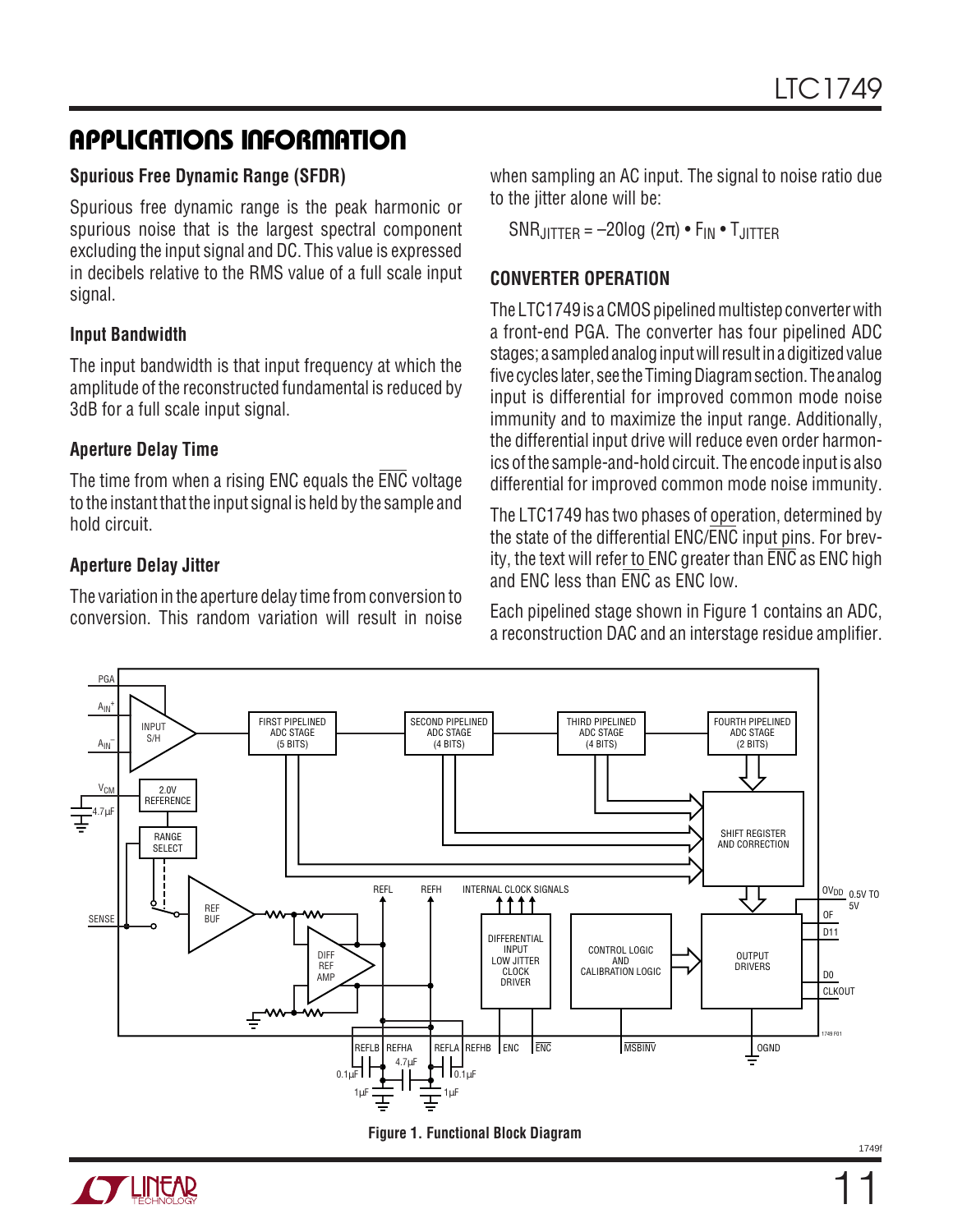### **Spurious Free Dynamic Range (SFDR)**

Spurious free dynamic range is the peak harmonic or spurious noise that is the largest spectral component excluding the input signal and DC. This value is expressed in decibels relative to the RMS value of a full scale input signal.

### **Input Bandwidth**

The input bandwidth is that input frequency at which the amplitude of the reconstructed fundamental is reduced by 3dB for a full scale input signal.

### **Aperture Delay Time**

The time from when a rising ENC equals the ENC voltage to the instant that the input signal is held by the sample and hold circuit.

### **Aperture Delay Jitter**

The variation in the aperture delay time from conversion to conversion. This random variation will result in noise when sampling an AC input. The signal to noise ratio due to the jitter alone will be:

SNR $_{\text{IITTER}}$  = -20log (2 $\pi$ ) • F<sub>IN</sub> • T<sub>JITTER</sub>

### **CONVERTER OPERATION**

The LTC1749 is a CMOS pipelined multistep converter with a front-end PGA. The converter has four pipelined ADC stages; a sampled analog input will result in a digitized value five cycles later, see the Timing Diagram section. The analog input is differential for improved common mode noise immunity and to maximize the input range. Additionally, the differential input drive will reduce even order harmonics of the sample-and-hold circuit. The encode input is also differential for improved common mode noise immunity.

The LTC1749 has two phases of operation, determined by the state of the differential ENC/ENC input pins. For brevity, the text will refer to ENC greater than ENC as ENC high and ENC less than ENC as ENC low.

Each pipelined stage shown in Figure 1 contains an ADC, a reconstruction DAC and an interstage residue amplifier.





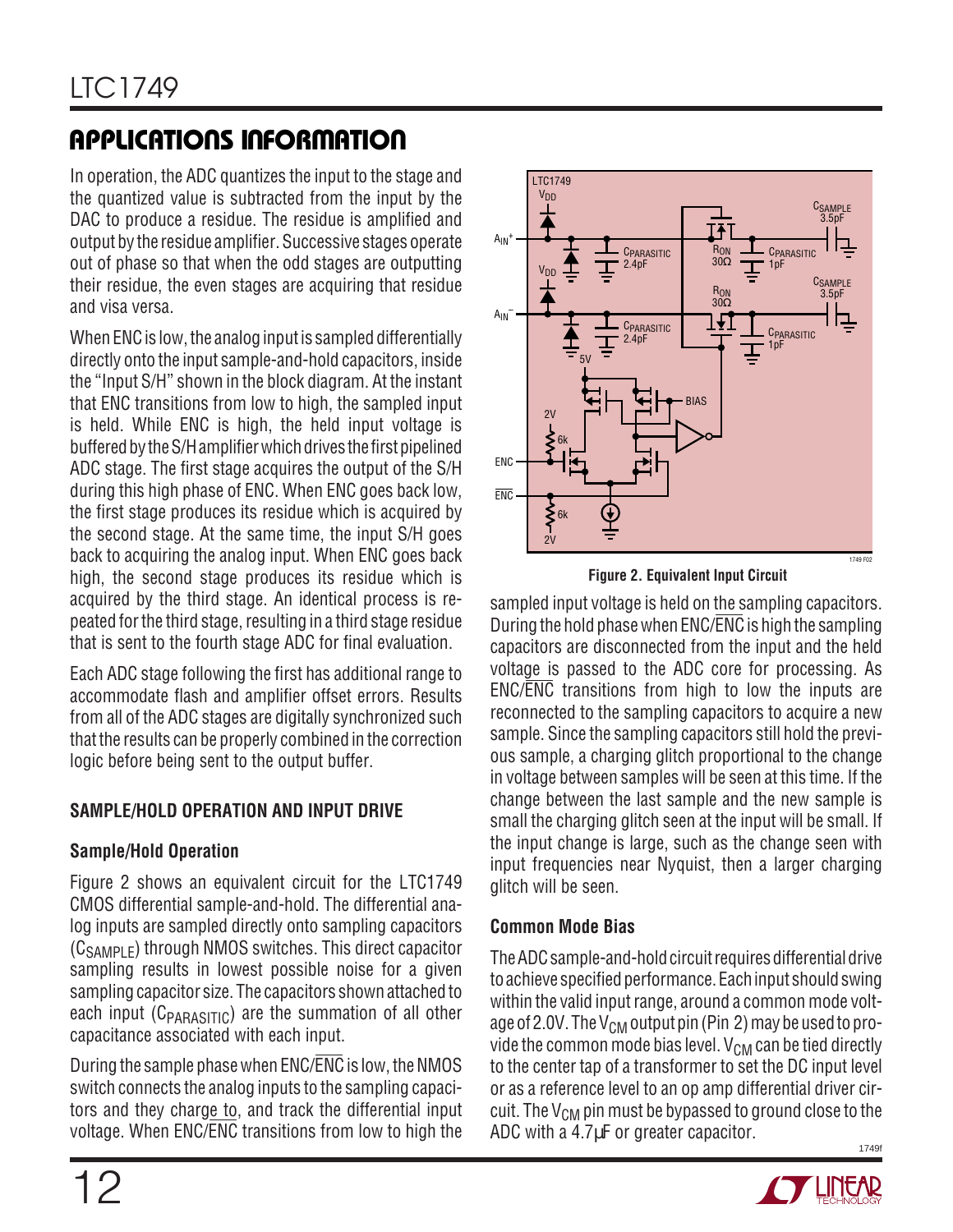In operation, the ADC quantizes the input to the stage and the quantized value is subtracted from the input by the DAC to produce a residue. The residue is amplified and output by the residue amplifier. Successive stages operate out of phase so that when the odd stages are outputting their residue, the even stages are acquiring that residue and visa versa.

When ENC is low, the analog input is sampled differentially directly onto the input sample-and-hold capacitors, inside the "Input S/H" shown in the block diagram. At the instant that ENC transitions from low to high, the sampled input is held. While ENC is high, the held input voltage is buffered by the S/H amplifier which drives the first pipelined ADC stage. The first stage acquires the output of the S/H during this high phase of ENC. When ENC goes back low, the first stage produces its residue which is acquired by the second stage. At the same time, the input S/H goes back to acquiring the analog input. When ENC goes back high, the second stage produces its residue which is acquired by the third stage. An identical process is repeated for the third stage, resulting in a third stage residue that is sent to the fourth stage ADC for final evaluation.

Each ADC stage following the first has additional range to accommodate flash and amplifier offset errors. Results from all of the ADC stages are digitally synchronized such that the results can be properly combined in the correction logic before being sent to the output buffer.

### **SAMPLE/HOLD OPERATION AND INPUT DRIVE**

### **Sample/Hold Operation**

Figure 2 shows an equivalent circuit for the LTC1749 CMOS differential sample-and-hold. The differential analog inputs are sampled directly onto sampling capacitors  $(C_{SAMPIF})$  through NMOS switches. This direct capacitor sampling results in lowest possible noise for a given sampling capacitor size. The capacitors shown attached to each input ( $C_{\text{PARASTIC}}$ ) are the summation of all other capacitance associated with each input.

During the sample phase when ENC/ENC is low, the NMOS switch connects the analog inputs to the sampling capacitors and they charge to, and track the differential input voltage. When ENC/ENC transitions from low to high the



**Figure 2. Equivalent Input Circuit**

sampled input voltage is held on the sampling capacitors. During the hold phase when ENC/ENC is high the sampling capacitors are disconnected from the input and the held voltage is passed to the ADC core for processing. As ENC/ENC transitions from high to low the inputs are reconnected to the sampling capacitors to acquire a new sample. Since the sampling capacitors still hold the previous sample, a charging glitch proportional to the change in voltage between samples will be seen at this time. If the change between the last sample and the new sample is small the charging glitch seen at the input will be small. If the input change is large, such as the change seen with input frequencies near Nyquist, then a larger charging glitch will be seen.

### **Common Mode Bias**

1749f The ADC sample-and-hold circuit requires differential drive to achieve specified performance. Each input should swing within the valid input range, around a common mode voltage of 2.0V. The  $V_{CM}$  output pin (Pin 2) may be used to provide the common mode bias level.  $V_{CM}$  can be tied directly to the center tap of a transformer to set the DC input level or as a reference level to an op amp differential driver circuit. The  $V_{CM}$  pin must be bypassed to ground close to the ADC with a 4.7µF or greater capacitor.

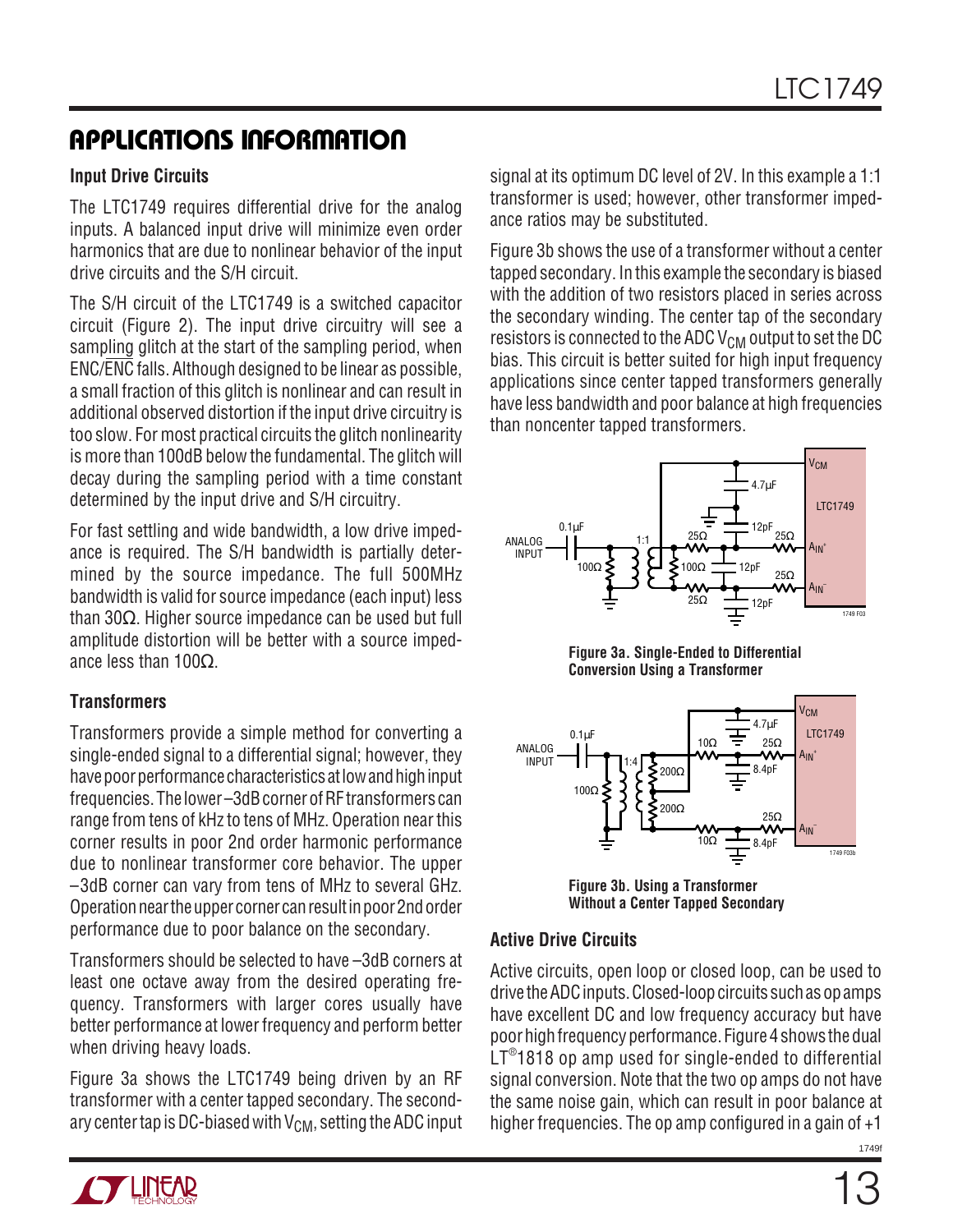### **Input Drive Circuits**

The LTC1749 requires differential drive for the analog inputs. A balanced input drive will minimize even order harmonics that are due to nonlinear behavior of the input drive circuits and the S/H circuit.

The S/H circuit of the LTC1749 is a switched capacitor circuit (Figure 2). The input drive circuitry will see a sampling glitch at the start of the sampling period, when ENC/ENC falls. Although designed to be linear as possible, a small fraction of this glitch is nonlinear and can result in additional observed distortion if the input drive circuitry is too slow. For most practical circuits the glitch nonlinearity is more than 100dB below the fundamental. The glitch will decay during the sampling period with a time constant determined by the input drive and S/H circuitry.

For fast settling and wide bandwidth, a low drive impedance is required. The S/H bandwidth is partially determined by the source impedance. The full 500MHz bandwidth is valid for source impedance (each input) less than 30 $Ω$ . Higher source impedance can be used but full amplitude distortion will be better with a source impedance less than 100Ω.

### **Transformers**

Transformers provide a simple method for converting a single-ended signal to a differential signal; however, they have poor performance characteristics at low and high input frequencies. The lower –3dB corner of RF transformers can range from tens of kHz to tens of MHz. Operation near this corner results in poor 2nd order harmonic performance due to nonlinear transformer core behavior. The upper –3dB corner can vary from tens of MHz to several GHz. Operation near the upper corner can result in poor 2nd order performance due to poor balance on the secondary.

Transformers should be selected to have –3dB corners at least one octave away from the desired operating frequency. Transformers with larger cores usually have better performance at lower frequency and perform better when driving heavy loads.

Figure 3a shows the LTC1749 being driven by an RF transformer with a center tapped secondary. The secondary center tap is DC-biased with  $V_{CM}$ , setting the ADC input signal at its optimum DC level of 2V. In this example a 1:1 transformer is used; however, other transformer impedance ratios may be substituted.

Figure 3b shows the use of a transformer without a center tapped secondary. In this example the secondary is biased with the addition of two resistors placed in series across the secondary winding. The center tap of the secondary resistors is connected to the ADC  $V_{\rm CM}$  output to set the DC bias. This circuit is better suited for high input frequency applications since center tapped transformers generally have less bandwidth and poor balance at high frequencies than noncenter tapped transformers.







**Figure 3b. Using a Transformer Without a Center Tapped Secondary**

#### **Active Drive Circuits**

Active circuits, open loop or closed loop, can be used to drive the ADC inputs. Closed-loop circuits such as op amps have excellent DC and low frequency accuracy but have poor high frequency performance. Figure 4 shows the dual LT® 1818 op amp used for single-ended to differential signal conversion. Note that the two op amps do not have the same noise gain, which can result in poor balance at higher frequencies. The op amp configured in a gain of +1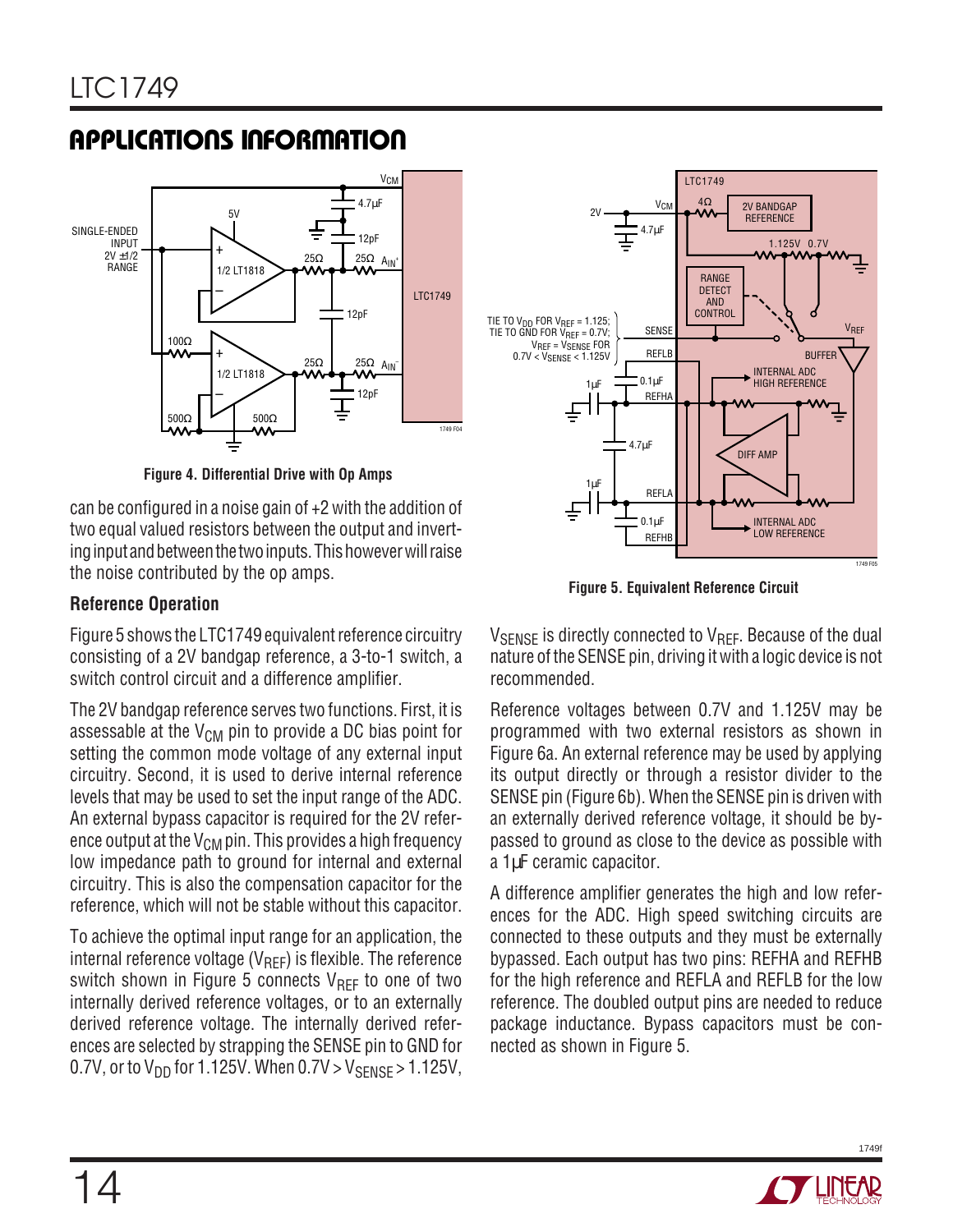

**Figure 4. Differential Drive with Op Amps**

can be configured in a noise gain of +2 with the addition of two equal valued resistors between the output and inverting input and between the two inputs. This however will raise the noise contributed by the op amps.

### **Reference Operation**

Figure 5 shows the LTC1749 equivalent reference circuitry consisting of a 2V bandgap reference, a 3-to-1 switch, a switch control circuit and a difference amplifier.

The 2V bandgap reference serves two functions. First, it is assessable at the  $V_{CM}$  pin to provide a DC bias point for setting the common mode voltage of any external input circuitry. Second, it is used to derive internal reference levels that may be used to set the input range of the ADC. An external bypass capacitor is required for the 2V reference output at the  $V_{CM}$  pin. This provides a high frequency low impedance path to ground for internal and external circuitry. This is also the compensation capacitor for the reference, which will not be stable without this capacitor.

To achieve the optimal input range for an application, the internal reference voltage ( $V_{REF}$ ) is flexible. The reference switch shown in Figure 5 connects  $V_{REF}$  to one of two internally derived reference voltages, or to an externally derived reference voltage. The internally derived references are selected by strapping the SENSE pin to GND for 0.7V, or to  $V_{DD}$  for 1.125V. When  $0.7V > V_{SENSE} > 1.125V$ ,



**Figure 5. Equivalent Reference Circuit**

 $V_{\text{SFNSF}}$  is directly connected to  $V_{\text{RFF}}$ . Because of the dual nature of the SENSE pin, driving it with a logic device is not recommended.

Reference voltages between 0.7V and 1.125V may be programmed with two external resistors as shown in Figure 6a. An external reference may be used by applying its output directly or through a resistor divider to the SENSE pin (Figure 6b). When the SENSE pin is driven with an externally derived reference voltage, it should be bypassed to ground as close to the device as possible with a 1µF ceramic capacitor.

A difference amplifier generates the high and low references for the ADC. High speed switching circuits are connected to these outputs and they must be externally bypassed. Each output has two pins: REFHA and REFHB for the high reference and REFLA and REFLB for the low reference. The doubled output pins are needed to reduce package inductance. Bypass capacitors must be connected as shown in Figure 5.

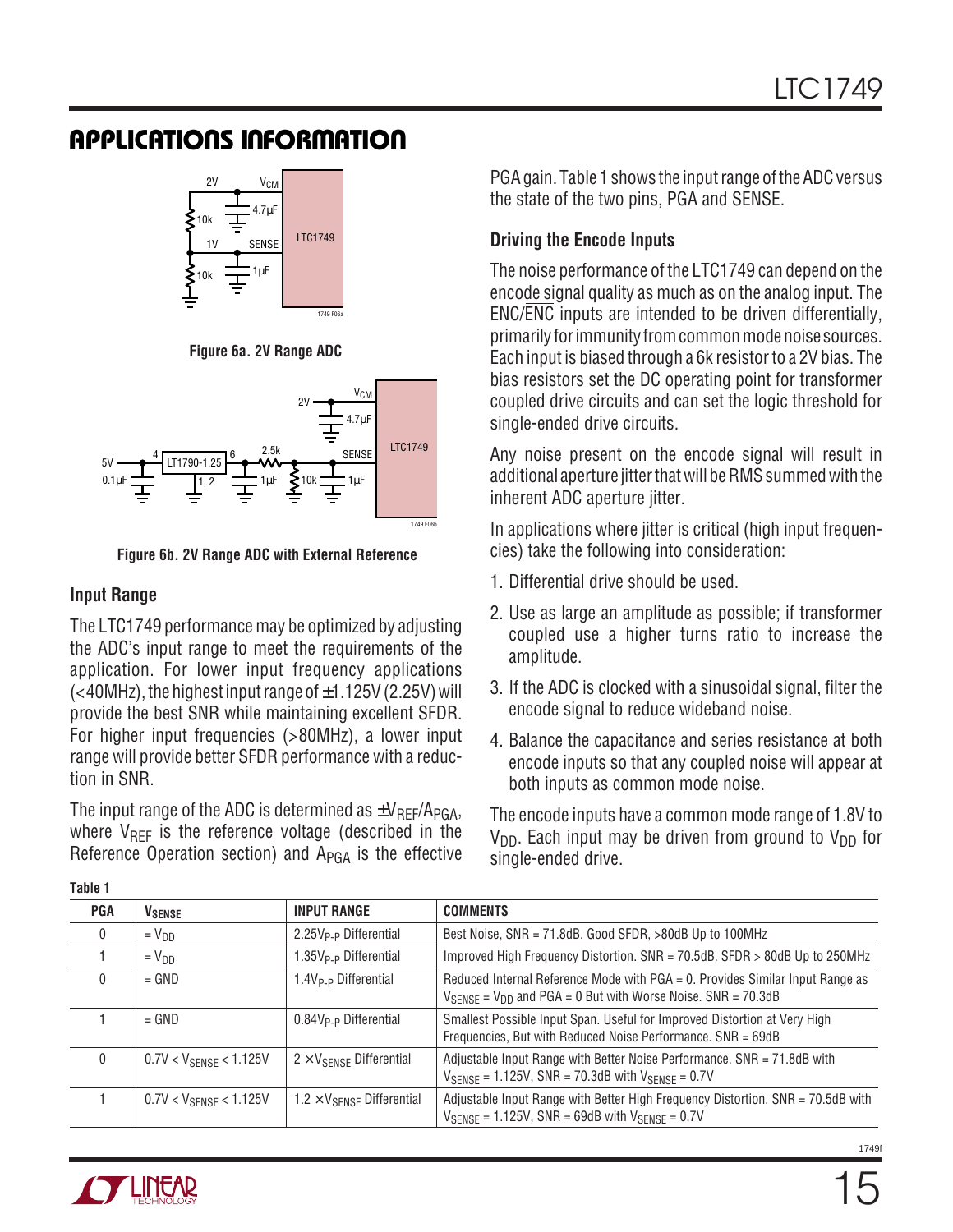

**Figure 6a. 2V Range ADC**



**Figure 6b. 2V Range ADC with External Reference**

### **Input Range**

The LTC1749 performance may be optimized by adjusting the ADC's input range to meet the requirements of the application. For lower input frequency applications  $(*40MHz*)$ , the highest input range of  $\pm 1.125V$  (2.25V) will provide the best SNR while maintaining excellent SFDR. For higher input frequencies (>80MHz), a lower input range will provide better SFDR performance with a reduction in SNR.

The input range of the ADC is determined as  $\pm V_{\text{RFF}}/A_{\text{PGA}}$ , where  $V_{REF}$  is the reference voltage (described in the Reference Operation section) and  $A_{PGA}$  is the effective

PGA gain. Table 1 shows the input range of the ADC versus the state of the two pins, PGA and SENSE.

### **Driving the Encode Inputs**

The noise performance of the LTC1749 can depend on the encode signal quality as much as on the analog input. The ENC/ENC inputs are intended to be driven differentially, primarily for immunity from common mode noise sources. Each input is biased through a 6k resistor to a 2V bias. The bias resistors set the DC operating point for transformer coupled drive circuits and can set the logic threshold for single-ended drive circuits.

Any noise present on the encode signal will result in additional aperture jitter that will be RMS summed with the inherent ADC aperture jitter.

In applications where jitter is critical (high input frequencies) take the following into consideration:

- 1. Differential drive should be used.
- 2. Use as large an amplitude as possible; if transformer coupled use a higher turns ratio to increase the amplitude.
- 3. If the ADC is clocked with a sinusoidal signal, filter the encode signal to reduce wideband noise.
- 4. Balance the capacitance and series resistance at both encode inputs so that any coupled noise will appear at both inputs as common mode noise.

The encode inputs have a common mode range of 1.8V to  $V_{DD}$ . Each input may be driven from ground to  $V_{DD}$  for single-ended drive.

| <b>PGA</b>   | <b>V</b> SENSE                     | <b>INPUT RANGE</b>                         | <b>COMMENTS</b>                                                                                                                                                    |
|--------------|------------------------------------|--------------------------------------------|--------------------------------------------------------------------------------------------------------------------------------------------------------------------|
| $\mathbf 0$  | $= V_{DD}$                         | 2.25V <sub>P-P</sub> Differential          | Best Noise, SNR = 71.8dB. Good SFDR, >80dB Up to 100MHz                                                                                                            |
|              | $= V_{DD}$                         | 1.35V <sub>P-P</sub> Differential          | Improved High Frequency Distortion. SNR = 70.5dB. SFDR > 80dB Up to 250MHz                                                                                         |
| $\mathbf{0}$ | $=$ GND                            | 1.4V <sub>P-P</sub> Differential           | Reduced Internal Reference Mode with PGA = 0. Provides Similar Input Range as<br>$V_{\text{SENSE}} = V_{\text{DD}}$ and PGA = 0 But with Worse Noise. SNR = 70.3dB |
|              | $=$ GND                            | $0.84V_{P-P}$ Differential                 | Smallest Possible Input Span. Useful for Improved Distortion at Very High<br>Frequencies, But with Reduced Noise Performance. SNR = 69dB                           |
| $\mathbf{0}$ | $0.7V < V_{\text{SENSE}} < 1.125V$ | $2 \times V_{SFNSF}$ Differential          | Adjustable Input Range with Better Noise Performance. SNR = 71.8dB with<br>$V_{\text{SPNSF}} = 1.125V$ , SNR = 70.3dB with $V_{\text{SPNSF}} = 0.7V$               |
|              | $0.7V < V_{\text{SENSE}} < 1.125V$ | $1.2 \times V_{\text{SENSE}}$ Differential | Adjustable Input Range with Better High Frequency Distortion. SNR = 70.5dB with<br>$V_{\text{SENSE}} = 1.125V$ , SNR = 69dB with $V_{\text{SENSE}} = 0.7V$         |

**Table 1**

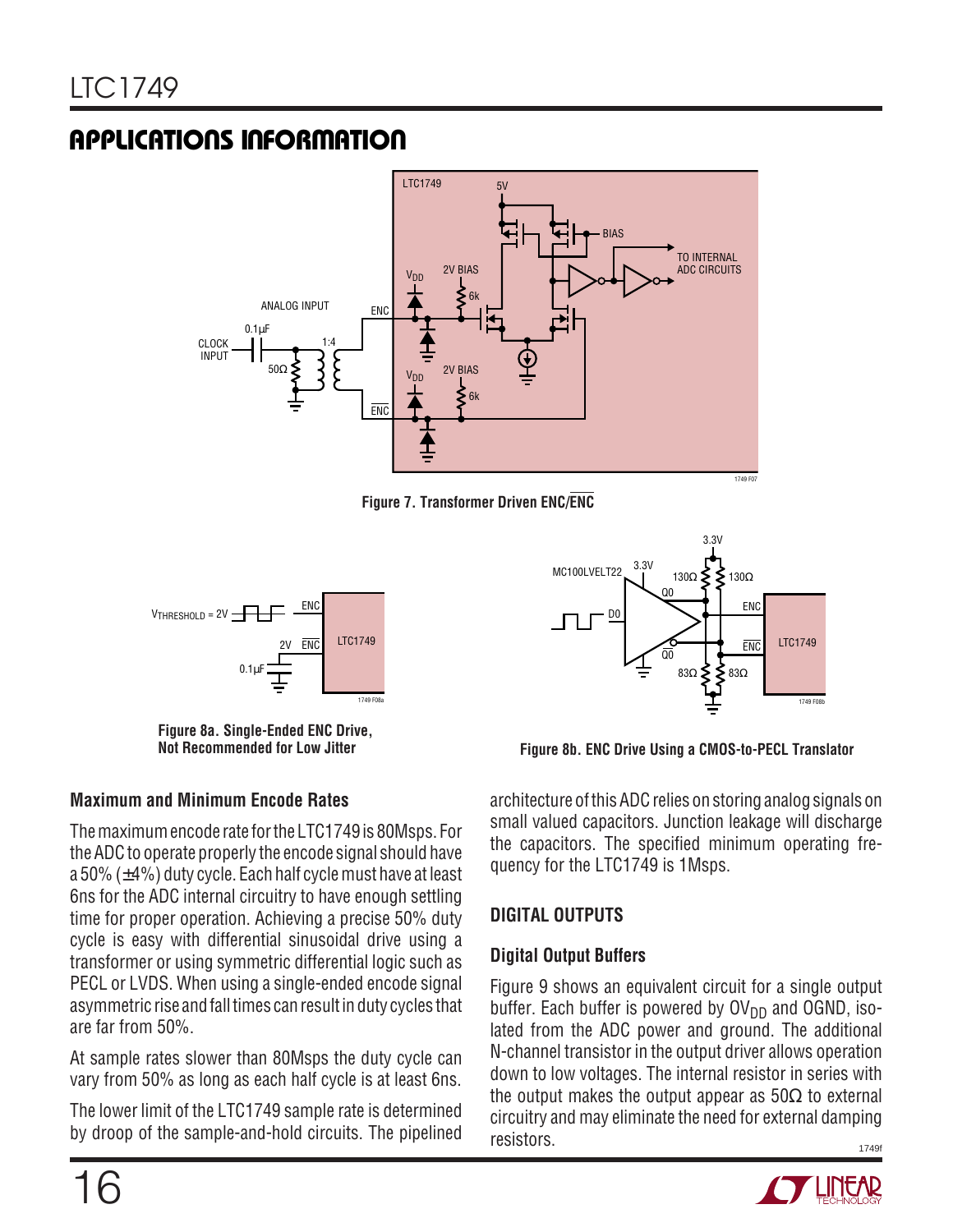

**Figure 7. Transformer Driven ENC/ENC**



**Figure 8a. Single-Ended ENC Drive,**

### **Maximum and Minimum Encode Rates**

The maximum encode rate for the LTC1749 is 80Msps. For the ADC to operate properly the encode signal should have a 50% (±4%) duty cycle. Each half cycle must have at least 6ns for the ADC internal circuitry to have enough settling time for proper operation. Achieving a precise 50% duty cycle is easy with differential sinusoidal drive using a transformer or using symmetric differential logic such as PECL or LVDS. When using a single-ended encode signal asymmetric rise and fall times can result in duty cycles that are far from 50%.

At sample rates slower than 80Msps the duty cycle can vary from 50% as long as each half cycle is at least 6ns.

The lower limit of the LTC1749 sample rate is determined by droop of the sample-and-hold circuits. The pipelined



**Figure 8b. ENC Drive Using a CMOS-to-PECL Translator** 

architecture of this ADC relies on storing analog signals on small valued capacitors. Junction leakage will discharge the capacitors. The specified minimum operating frequency for the LTC1749 is 1Msps.

### **DIGITAL OUTPUTS**

### **Digital Output Buffers**

1749f Figure 9 shows an equivalent circuit for a single output buffer. Each buffer is powered by  $\text{OV}_{DD}$  and OGND, isolated from the ADC power and ground. The additional N-channel transistor in the output driver allows operation down to low voltages. The internal resistor in series with the output makes the output appear as  $50\Omega$  to external circuitry and may eliminate the need for external damping resistors.

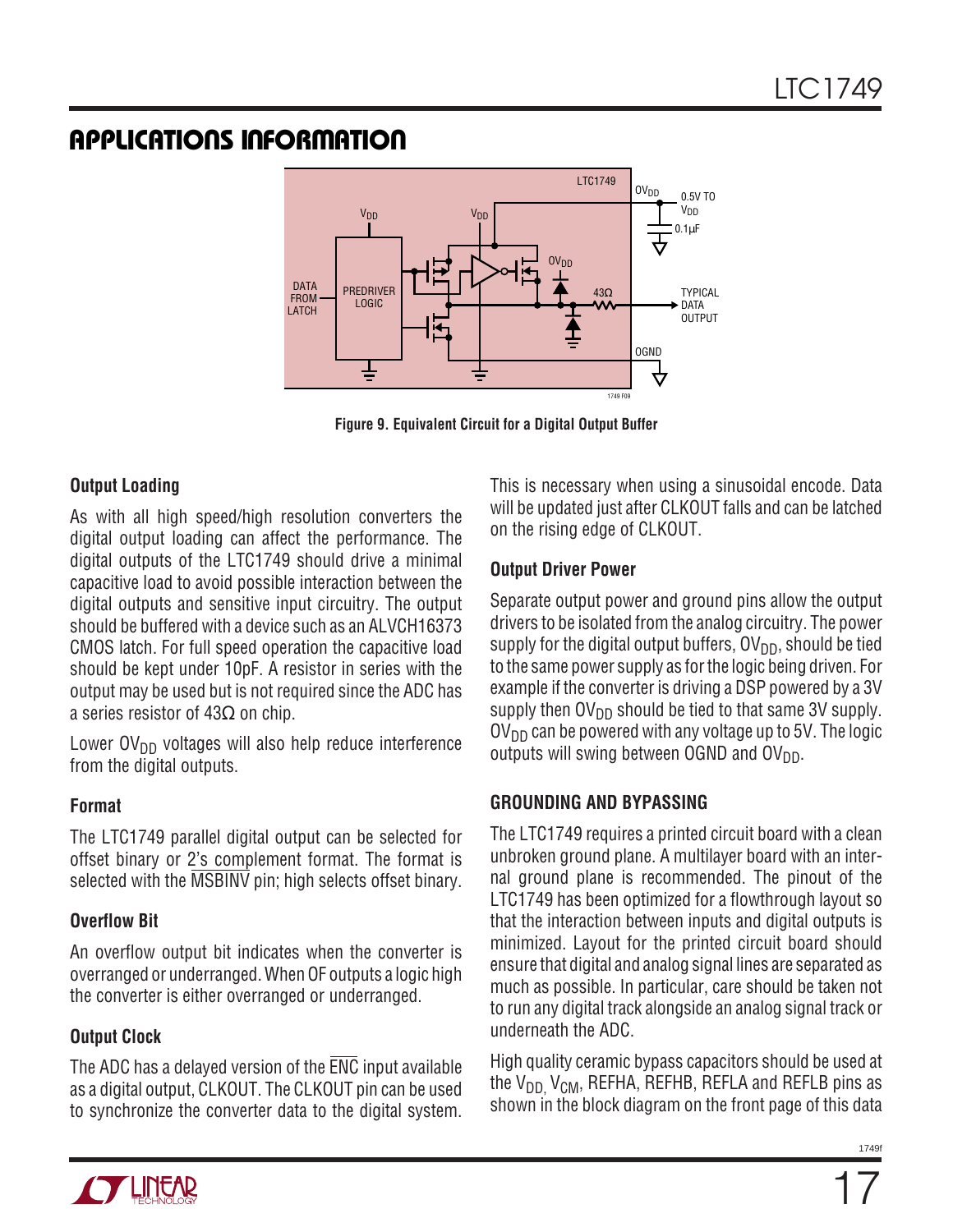

**Figure 9. Equivalent Circuit for a Digital Output Buffer**

### **Output Loading**

As with all high speed/high resolution converters the digital output loading can affect the performance. The digital outputs of the LTC1749 should drive a minimal capacitive load to avoid possible interaction between the digital outputs and sensitive input circuitry. The output should be buffered with a device such as an ALVCH16373 CMOS latch. For full speed operation the capacitive load should be kept under 10pF. A resistor in series with the output may be used but is not required since the ADC has a series resistor of  $43\Omega$  on chip.

Lower  $O(V_{DD}$  voltages will also help reduce interference from the digital outputs.

### **Format**

The LTC1749 parallel digital output can be selected for offset binary or 2's complement format. The format is selected with the MSBINV pin; high selects offset binary.

### **Overflow Bit**

An overflow output bit indicates when the converter is overranged or underranged. When OF outputs a logic high the converter is either overranged or underranged.

### **Output Clock**

The ADC has a delayed version of the ENC input available as a digital output, CLKOUT. The CLKOUT pin can be used to synchronize the converter data to the digital system. This is necessary when using a sinusoidal encode. Data will be updated just after CLKOUT falls and can be latched on the rising edge of CLKOUT.

### **Output Driver Power**

Separate output power and ground pins allow the output drivers to be isolated from the analog circuitry. The power supply for the digital output buffers,  $\overline{O}V_{DD}$ , should be tied to the same power supply as for the logic being driven. For example if the converter is driving a DSP powered by a 3V supply then  $\text{OV}_{\text{DD}}$  should be tied to that same 3V supply.  $\text{OV}_{\text{DD}}$  can be powered with any voltage up to 5V. The logic outputs will swing between OGND and  $\text{OV}_{\text{DD}}$ .

### **GROUNDING AND BYPASSING**

The LTC1749 requires a printed circuit board with a clean unbroken ground plane. A multilayer board with an internal ground plane is recommended. The pinout of the LTC1749 has been optimized for a flowthrough layout so that the interaction between inputs and digital outputs is minimized. Layout for the printed circuit board should ensure that digital and analog signal lines are separated as much as possible. In particular, care should be taken not to run any digital track alongside an analog signal track or underneath the ADC.

High quality ceramic bypass capacitors should be used at the  $V_{DD}$ ,  $V_{CM}$ , REFHA, REFHB, REFLA and REFLB pins as shown in the block diagram on the front page of this data

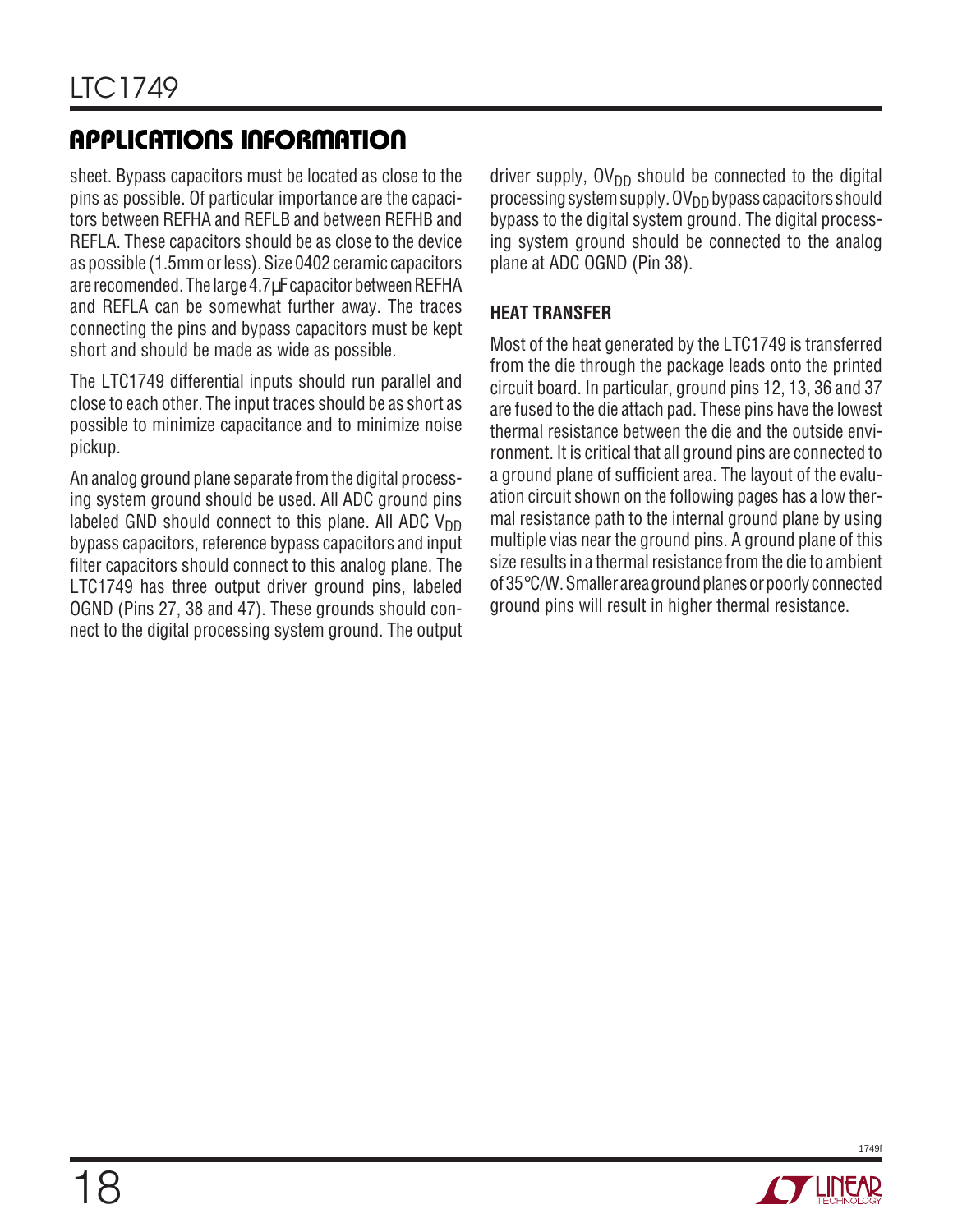sheet. Bypass capacitors must be located as close to the pins as possible. Of particular importance are the capacitors between REFHA and REFLB and between REFHB and REFLA. These capacitors should be as close to the device as possible (1.5mm or less). Size 0402 ceramic capacitors are recomended. The large 4.7µF capacitor between REFHA and REFLA can be somewhat further away. The traces connecting the pins and bypass capacitors must be kept short and should be made as wide as possible.

The LTC1749 differential inputs should run parallel and close to each other. The input traces should be as short as possible to minimize capacitance and to minimize noise pickup.

An analog ground plane separate from the digital processing system ground should be used. All ADC ground pins labeled GND should connect to this plane. All ADC  $V_{DD}$ bypass capacitors, reference bypass capacitors and input filter capacitors should connect to this analog plane. The LTC1749 has three output driver ground pins, labeled OGND (Pins 27, 38 and 47). These grounds should connect to the digital processing system ground. The output driver supply,  $\text{OV}_{DD}$  should be connected to the digital processing system supply.  $\overline{O}V_{DD}$  bypass capacitors should bypass to the digital system ground. The digital processing system ground should be connected to the analog plane at ADC OGND (Pin 38).

### **HEAT TRANSFER**

Most of the heat generated by the LTC1749 is transferred from the die through the package leads onto the printed circuit board. In particular, ground pins 12, 13, 36 and 37 are fused to the die attach pad. These pins have the lowest thermal resistance between the die and the outside environment. It is critical that all ground pins are connected to a ground plane of sufficient area. The layout of the evaluation circuit shown on the following pages has a low thermal resistance path to the internal ground plane by using multiple vias near the ground pins. A ground plane of this size results in a thermal resistance from the die to ambient of 35°C/W. Smaller area ground planes or poorly connected ground pins will result in higher thermal resistance.

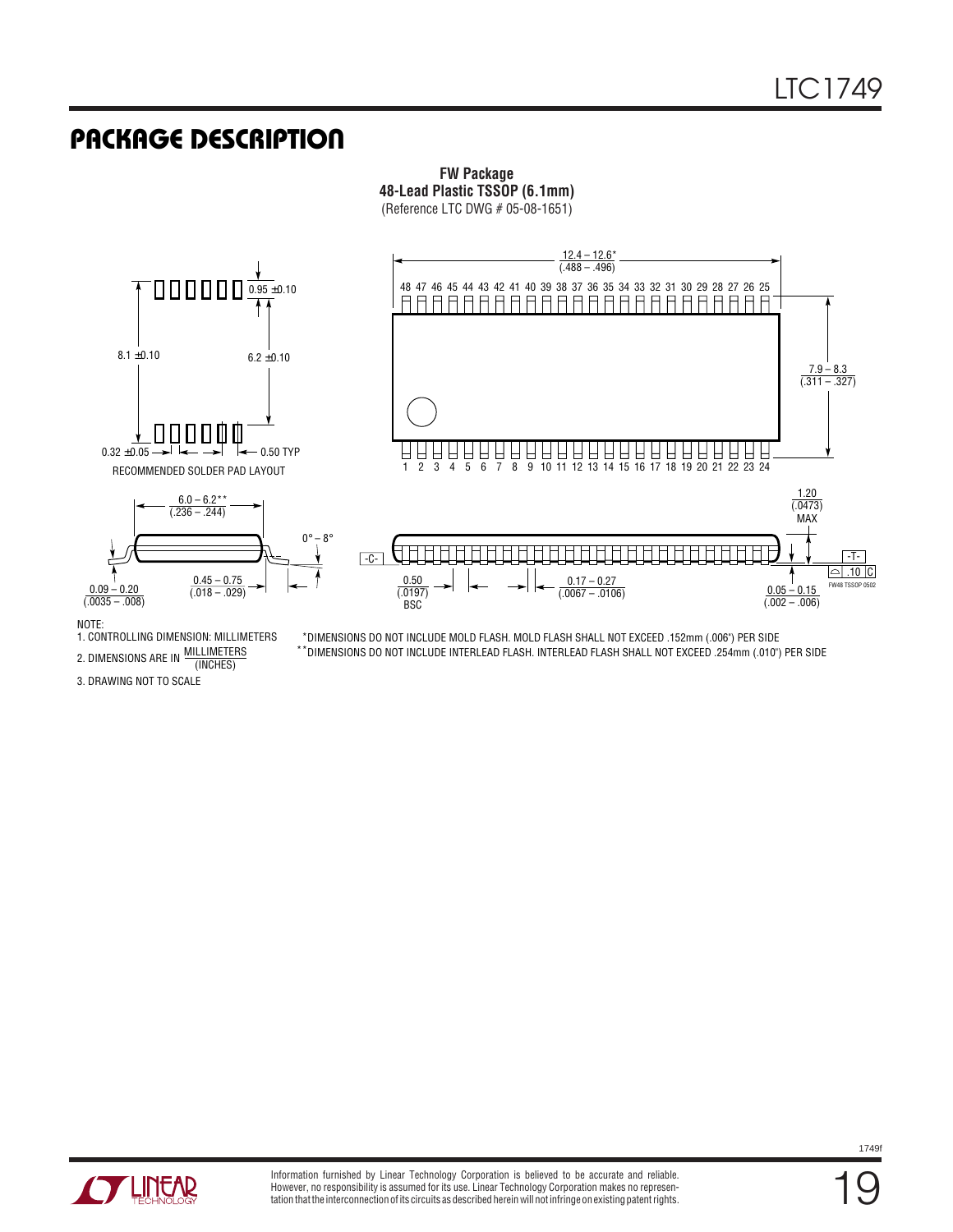### **PACKAGE DESCRIPTION**

#### **FW Package 48-Lead Plastic TSSOP (6.1mm)** (Reference LTC DWG # 05-08-1651)



#### NOTE:

MILLIMETERS 2. DIMENSIONS ARE IN WILLINGTER 1. CONTROLLING DIMENSION: MILLIMETERS

\*DIMENSIONS DO NOT INCLUDE MOLD FLASH. MOLD FLASH SHALL NOT EXCEED .152mm (.006") PER SIDE  $^\star$ DIMENSIONS DO NOT INCLUDE INTERLEAD FLASH. INTERLEAD FLASH SHALL NOT EXCEED .254mm (.010") PER SIDE

3. DRAWING NOT TO SCALE



19